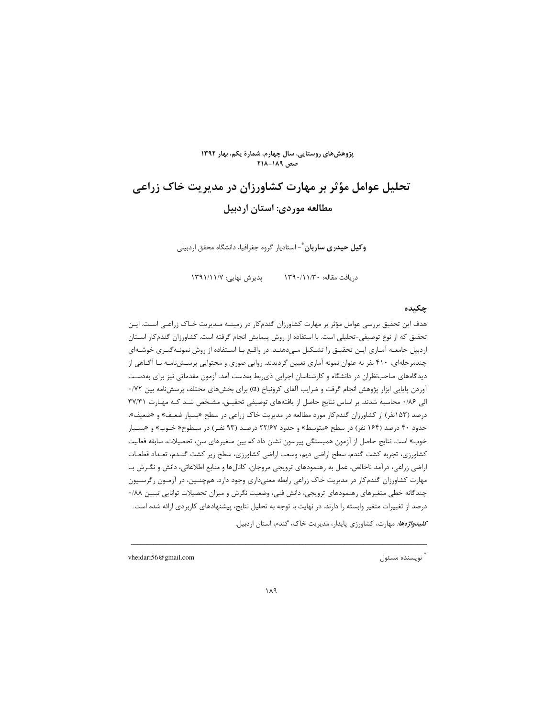

# تحلیل عوامل مؤثر بر مهارت کشاورزان در مدیریت خاک زراعی مطالعه موردي: استان اردبيل

**وکیل حیدری ساربان** ٌ- استادیار گروه جغرافیا، دانشگاه محقق اردبیلی

یڈیرش نھایے: ۱۳۹۱/۱۱/۷ د, بافت مقاله: ۱۳۹۰/۱۱/۳۰

#### چکیده

هدف این تحقیق بررسی عوامل مؤثر بر مهارت کشاورزان گندمکار در زمینـه مـدیریت خـاک زراعـی اسـت. ایـن تحقیق که از نوع توصیفی-تحلیلی است. با استفاده از روش پیمایش انجام گرفته است. کشاورزان گندمکار اسـتان اردبیل جامعـه آمـاری ایـن تحقیـق را تشـكیل مـیدهنـد. در واقـع بـا اسـتفاده از روش نمونـهگیـری خوشـهای چندمرحلهای، ۴۱۰ نفر به عنوان نمونه آماری تعیین گردیدند. روایی صوری و محتوایی پرسـشiاسه بـا آگـاهی از دیدگاههای صاحبنظران در دانشگاه و کارشناسان اجرایی ذی ربط بهدست آمد. آزمون مقدماتی نیز برای بهدست آوردن پایایی ابزار پژوهش انجام گرفت و ضرایب آلفای کرونباخ (a) برای بخشهای مختلف پرسشنامه بین ۰/۷۲ الی ١٨۶٠ محاسبه شدند. بر اساس نتايج حاصل از يافتههاى توصيفى تحقيـق، مشخص شـد كـه مهارت ٣٧/٣١ درصد (۱۵۳نفر) از کشاورزان گندمکار مورد مطالعه در مدیریت خاک زراعی در سطح «بسیار ضعیف» و «ضعیف»، حدود ۴۰ درصد (۱۶۴ نفر) در سطح «متوسط» و حدود ۲۲/۶۷ درصـد (۹۳ نفـر) در سـطوح« خـوب» و «بسـیار خوب» است. نتايج حاصل از آزمون همبستگي پيرسون نشان داد كه بين متغيرهاي سن، تحصيلات، سابقه فعاليت كشاورزي، تجربه كشت گندم، سطح اراضي ديم، وسعت اراضي كشاورزي، سطح زير كشت گنـدم، تعـداد قطعـات اراضی زراعی، درآمد ناخالص، عمل به رهنمودهای ترویجی مروجان، کانالها و منابع اطلاعاتی، دانش و نگـرش بـا مهارت کشاورزان گندم کار در مدیریت خاک زراعی رابطه معنیداری وجود دارد. همچنـین، در آزمـون رگرسـیون چندگانه خطی متغیرهای رهنمودهای ترویجی، دانش فنی، وضعیت نگرش و میزان تحصیلات توانایی تبیین ۰/۸۸ درصد از تغییرات متغیر وابسته را دارند. در نهایت با توجه به تحلیل نتایج، پیشنهادهای کاربردی ارائه شده است.

*كليدواژهها:* مهارت، كشاورزي پايدار، مديريت خاك، گندم، استان اردبيل.

ء<br>نويسنده مسئول

vheidari56@gmail.com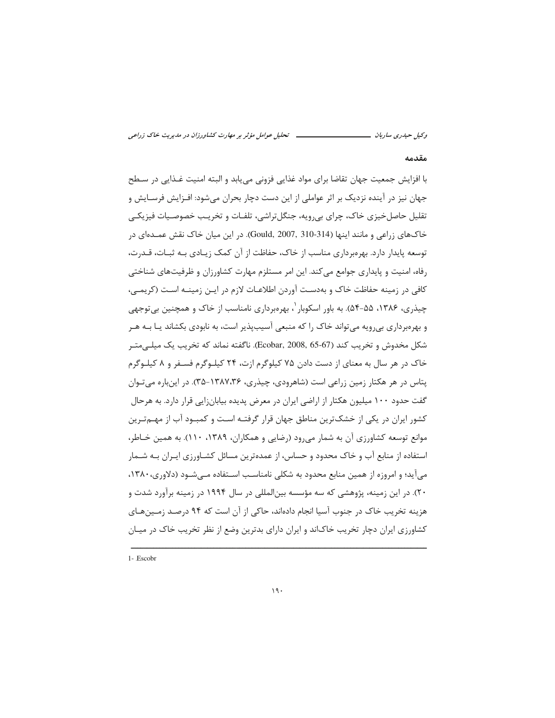ــــ تحلیل عوامل مؤثر بر مهارت کشاورزان در مدیریت خاک زراعی وکیل حیدری ساربان ــــ

#### مقدمه

با افزايش جمعيت جهان تقاضا براي مواد غذايي فزوني مي يابد و البته امنيت غــذايي در ســطح جهان نیز در آینده نزدیک بر اثر عواملی از این دست دچار بحران می شود: افـزایش فرسـایش و تقلیل حاصل خیزی خاک، چرای بی٫ویه، جنگل تراشی، تلفـات و تخریـب خصوصـیات فیزیکـی خاکهای زراعی و مانند اینها (Gould, 2007, 310-314). در این میان خاک نقش عمـدهای در توسعه پایدار دارد. بهرهبرداری مناسب از خاک، حفاظت از آن کمک زیـادی بـه ثبـات، قــدرت، رفاه، امنیت و پایداری جوامع می کند. این امر مستلزم مهارت کشاورزان و ظرفیتهای شناختی كافي در زمينه حفاظت خاک و بهدست آوردن اطلاعـات لازم در ايـن زمينـه اسـت (كريمـي، چیذری، ۱۳۸۶، ۵۵-۵۴). به باور اسکوبار ٬ بهرەبرداری نامناسب از خاک و همچنین بی توجهی و بهرهبرداری بی رویه می تواند خاک را که منبعی آسیبیذیر است، به نابودی بکشاند یـا بــه هــر شكل مخدوش و تخريب كند (67-65 ,Ecobar, 2008). ناگفته نماند كه تخريب يك ميلي متير خاک در هر سال به معنای از دست دادن ۷۵ کیلوگرم ازت، ۲۴ کیلـوگرم فسـفر و ۸ کیلـوگرم پتاس در هر هکتار زمین زراعی است (شاهرودی، چیذری، ۱۳۸۷،۳۶-۳۵). در اینباره می تـوان گفت حدود ۱۰۰ میلیون هکتار از اراضی ایران در معرض پدیده بیابانزایی قرار دارد. به هرحال کشور ایران در یکی از خشکترین مناطق جهان قرار گرفتـه اسـت و کمبـود آب از مهـمتـرین موانع توسعه کشاورزی آن به شمار می رود (رضایی و همکاران، ۱۳۸۹، ۱۱۰). به همین خـاطر، استفاده از منابع آب و خاک محدود و حساس، از عمدهترین مسائل کشــاورزی ایــران بــه شــمار می آید؛ و امروزه از همین منابع محدود به شکلی نامناسب استفاده مے شـود (دلاوری، ۱۳۸۰، ۲۰). در این زمینه، پژوهشی که سه مؤسسه بین|لمللی در سال ۱۹۹۴ در زمینه برآورد شدت و هزینه تخریب خاک در جنوب آسیا انجام دادهاند، حاکی از آن است که ۹۴ درصـد زمـینهـای کشاورزی ایران دچار تخریب خاکاند و ایران دارای بدترین وضع از نظر تخریب خاک در میـان

1- Escobr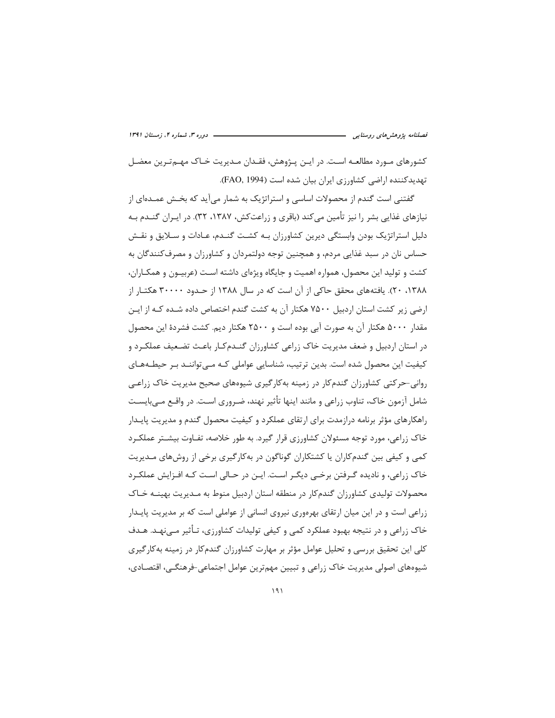کشورهای مـورد مطالعـه اسـت. در ایـن پـژوهش، فقـدان مـدیریت خـاک مهـمتـرین معضـل تهدیدکننده اراضی کشاورزی ایران بیان شده است (FAO, 1994).

گفتنی است گندم از محصولات اساسی و استراتژیک به شمار میآید که بخـش عمـدهای از نیازهای غذایی بشر را نیز تأمین می کند (باقری و زراعت کش، ۱۳۸۷، ۳۲). در ایـران گنــدم بـه دلیل استراتژیک بودن وابستگی دیرین کشاورزان بـه کشـت گنـدم، عـادات و سـلایق و نقـش حساس نان در سبد غذایی مردم، و همچنین توجه دولتمردان و کشاورزان و مصرف کنندگان به کشت و تولید این محصول، همواره اهمیت و جایگاه ویژهای داشته است (عربیــون و همکــاران، ۲۰ ،۱۳۸۸، ۲۰). یافتههای محقق حاکی از آن است که در سال ۱۳۸۸ از حـدود ۳۰۰۰۰ هکتـار از ارضی زیر کشت استان اردبیل ۷۵۰۰ هکتار آن به کشت گندم اختصاص داده شـده کـه از ایـن مقدار ۵۰۰۰ هکتار آن به صورت آبی بوده است و ۲۵۰۰ هکتار دیم. کشت فشردهٔ این محصول در استان اردبیل و ضعف مدیریت خاک زراعی کشاورزان گنـدمکـار باعـث تضـعیف عملکـرد و کیفیت این محصول شده است. بدین ترتیب، شناسایی عواملی کـه مـی تواننـد بـر حیطـههـای روانی-حرکتی کشاورزان گندمکار در زمینه بهکارگیری شیوههای صحیح مدیریت خاک زراعی شامل آزمون خاک، تناوب زراعی و مانند اینها تأثیر نهند، ضـروری اسـت. در واقــع مــی.بایســت راهکارهای مؤثر برنامه درازمدت برای ارتقای عملکرد و کیفیت محصول گندم و مدیریت پایـدار خاک زراعی، مورد توجه مسئولان کشاورزی قرار گیرد. به طور خلاصه، تفـاوت بیشـتر عملکـرد کمی و کیفی بین گندمکاران یا کشتکاران گوناگون در بهکارگیری برخی از روشهای مـدیریت خاک زراعی، و نادیده گـرفتن برخـی دیگـر اسـت. ایـن در حـالی اسـت کـه افـزایش عملکـرد محصولات تولیدی کشاورزان گندمکار در منطقه استان اردبیل منوط به مـدیریت بهینــه خــاک زراعی است و در این میان ارتقای بهرهوری نیروی انسانی از عواملی است که بر مدیریت پایــدار خاک زراعی و در نتیجه بهبود عملکرد کمی و کیفی تولیدات کشاورزی، تـأثیر مـی;هـد. هـدف کلی این تحقیق بررسی و تحلیل عوامل مؤثر بر مهارت کشاورزان گندمکار در زمینه بهکارگیری شیوههای اصولی مدیریت خاک زراعی و تبیین مهمترین عوامل اجتماعی-فرهنگی، اقتصادی،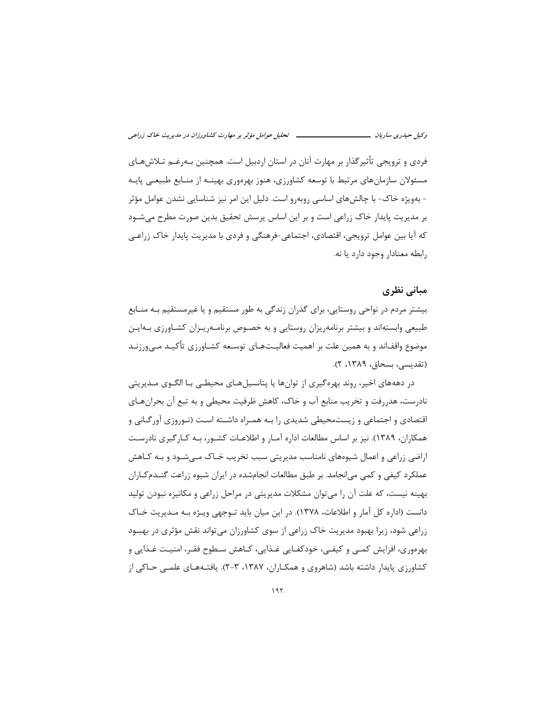فردی و ترویجی تأثیرگذار بر مهارت آنان در استان اردبیل است. همچنین بـهرغـم تـلاش۵هـای مسئولان سازمانهای مرتبط با توسعه کشاورزی، هنوز بهرهوری بهینـه از منـابع طبیعـی پایـه - بهویژه خاک- با چالشهای اساسی روبهرو است. دلیل این امر نیز شناسایی نشدن عوامل مؤثر بر مدیریت پایدار خاک زراعی است و بر این اساس پرسش تحقیق بدین صورت مطرح می شـود که آیا بین عوامل ترویجی، اقتصادی، اجتماعی-فرهنگی و فردی با مدیریت پایدار خاک زراعـی رابطه معنادار وجود دارد يا نه.

### مبانی نظری

بیشتر مردم در نواحی روستایی، برای گذران زندگی به طور مستقیم و یا غیرمستقیم بـه منـابع طبیعی وابستهاند و بیشتر برنامهریزان روستایی و به خصـوص برنامـهریـزان کشـاورزی بـهایـن موضوع واقفاند و به همین علت بر اهمیت فعالیــتهـای توســعه کشــاورزی تأکیــد مــیورزنــد (تقديسي، بسحاق، ١٣٨٩، ٢).

در دهههای اخیر، روند بهرهگیری از توانها یا پتانسیلهـای محیطـی بـا الگـوی مـدیریتی نادرست، هدررفت و تخریب منابع آب و خاک، کاهش ظرفیت محیطی و به تبع آن بحران هـای اقتصادی و اجتماعی و زیستمحیطی شدیدی را بـه همـراه داشــته اسـت (نـوروزی آورگـانی و همکاران، ۱۳۸۹). نیز بر اساس مطالعات اداره آمـار و اطلاعـات کشـور، بـه کـارگیری نادرسـت اراضی زراعی و اعمال شیوههای نامناسب مدیریتی سبب تخریب خـاک مــی شـود و بــه کـاهش عملکرد کیفی و کمی می|نجامد. بر طبق مطالعات انجامشده در ایران شیوه زراعت گنــدمکـاران بهینه نیست، که علت آن را می توان مشکلات مدیریتی در مراحل زراعی و مکانیزه نبودن تولید دانست (اداره کل آمار و اطلاعات، ۱۳۷۸). در این میان باید تـوجهی ویـژه بـه مـدیریت خـاک زراعی شود، زیرا بهبود مدیریت خاک زراعی از سوی کشاورزان می تواند نقش مؤثری در بهبود بهرهوري، افزايش كمبي و كيفـي، خودكفـايي غـذايي، كـاهش سـطوح فقـر، امنيـت غـذايي و کشاورزی پایدار داشته باشد (شاهروی و همکـاران، ۱۳۸۷، ۳-۲). یافتـههـای علمـی حـاکی از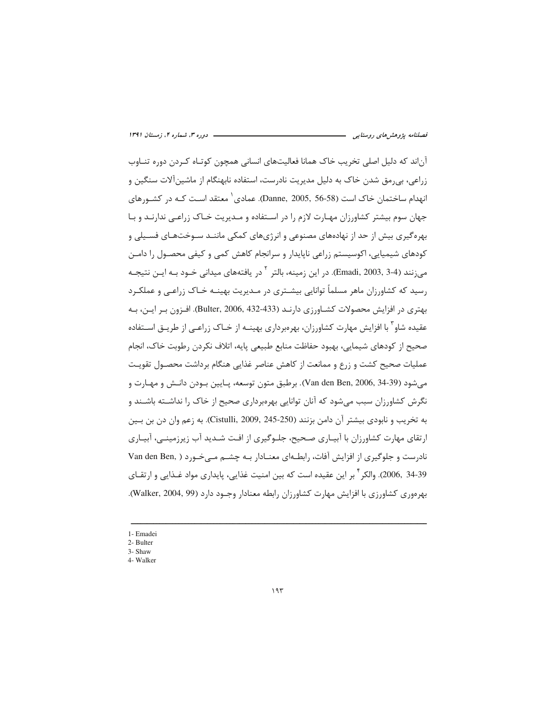آناند که دلیل اصلی تخریب خاک همانا فعالیتهای انسانی همچون کوتـاه کـردن دوره تنــاوب زراعي، بي رمق شدن خاک به دليل مديريت نادرست، استفاده نابهنگام از ماشين آلات سنگين و انهدام ساختمان خاک است (Danne, 2005, 56-58). عمادی' معتقد اسـت کـه در کشـورهای جهان سوم بیشتر کشاورزان مهـارت لازم را در اسـتفاده و مـدیریت خـاک زراعـی ندارنـد و بـا بهره گیری بیش از حد از نهادههای مصنوعی و انرژیهای کمکی ماننـد سـوختهـای فسـیلی و کودهای شیمیایی، اکوسیستم زراعی ناپایدار و سرانجام کاهش کمی و کیفی محصـول را دامـن می;نند (3-3 ,Emadi, 2003). در این زمینه، بالتر <sup>۲</sup> در یافتههای میدانی خــود بــه ایــن نتیجــه رسید که کشاورزان ماهر مسلماً توانایی بیشـتری در مـدیریت بهینــه خـاک زراعـی و عملکـرد بهتری در افزایش محصولات کشـاورزی دارنـد (Bulter, 2006, 432-433). افـزون بـر ایـن، بـه عقیده شاو ٔ با افزایش مهارت کشاورزان، بهرهبرداری بهینــه از خــاک زراعــی از طریــق اســتفاده صحيح از كودهاي شيمايي، بهبود حفاظت منابع طبيعي يايه، اتلاف نكردن رطوبت خاك، انجام عملیات صحیح کشت و زرع و ممانعت از کاهش عناصر غذایی هنگام برداشت محصـول تقویـت مي شود (Van den Ben, 2006, 34-39). برطبق متون توسعه، پـايين بـودن دانـش و مهـارت و نگرش کشاورزان سبب میشود که آنان توانایی بهرهبرداری صحیح از خاک را نداشـته باشـند و به تخريب و نابودي بيشتر آن دامن بزنند (250-245 ,Cistulli, 2009). به زعم وان دن بن بــين ارتقای مهارت کشاورزان با آبیـاری صـحیح، جلـوگیری از افـت شـدید آب زیرزمینـی، آبیـاری نادرست و جلوگیری از افزایش آفات، رابطـهای معنـادار بـه چشـم مـی خـورد ( Van den Ben, 34-39 ,2006, والكر <sup>1</sup> بر اين عقيده است كه بين امنيت غذايي، پايداري مواد غـذايي و ارتقــاي بهرهوري كشاورزي با افزايش مهارت كشاورزان رابطه معنادار وجـود دارد (Walker, 2004, 99).

- 1- Emadei
- 2- Bulter

<sup>3-</sup> Shaw

<sup>4-</sup> Walker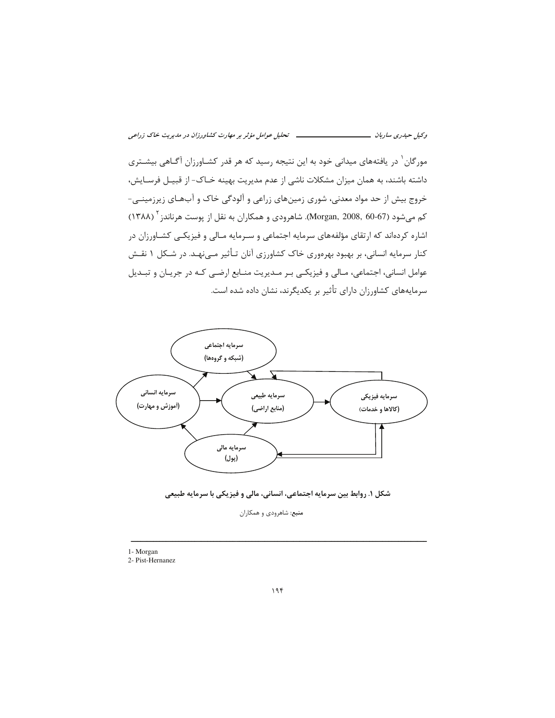مورگان <sup>۱</sup> در یافتههای میدانی خود به این نتیجه رسید که هر قدر کشـاورزان آگـاهی بیشـتری داشته باشند، به همان میزان مشکلات ناشی از عدم مدیریت بهینه خـاک- از قبیـل فرسـایش، خروج بیش از حد مواد معدنی، شوری زمینهای زراعی و آلودگی خاک و آبهـای زیرزمینـی-کم میشود (67-60 Morgan, 2008, 60). شاهرودی و همکاران به نقل از پوست هرناندز <sup>۲</sup> (۱۳۸۸) اشاره کردهاند که ارتقای مؤلفههای سرمایه اجتماعی و سـرمایه مـالی و فیزیکـی کشـاورزان در کنار سرمایه انسانی، بر بهبود بهرهوری خاک کشاورزی آنان تـأثیر مـینهـد. در شـکل ۱ نقـش عوامل انسانی، اجتماعی، مـالی و فیزیکـی بـر مـدیریت منـابع ارضـی کـه در جریـان و تبـدیل سرمایههای کشاورزان دارای تأثیر بر یکدیگرند، نشان داده شده است.





منبع: شاهرودي و همكاران

<sup>1-</sup> Morgan

<sup>2-</sup> Pist-Hernanez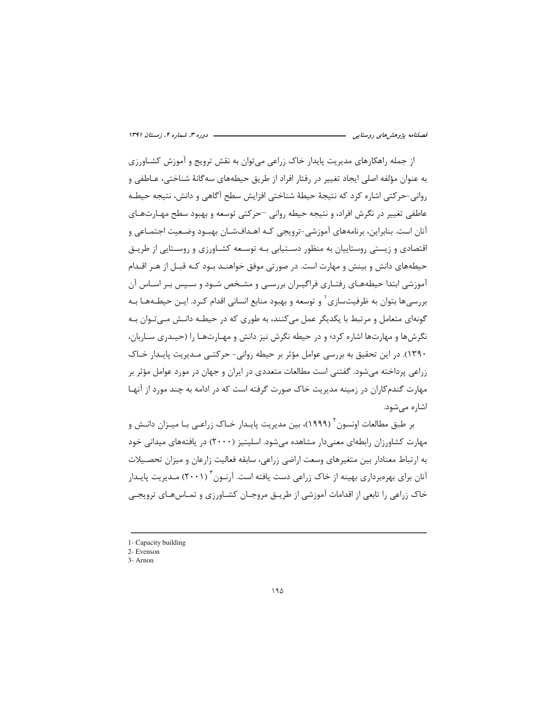از جمله راهکارهای مدیریت پایدار خاک زراعی می توان به نقش ترویج و آموزش کشـاورزی به عنوان مؤلفه اصلی ایجاد تغییر در رفتار افراد از طریق حیطههای سه گانهٔ شناختی، عـاطفی و رواني-حركتي اشاره كرد كه نتيجة حيطة شناختي افزايش سطح آگاهي و دانش، نتيجه حيطـه عاطفي تغيير در نگرش افراد، و نتيجه حيطه رواني —حركتي توسعه و بهبود سطح مهـارتهـاي آنان است. بنابراین، برنامههای آموزشی-ترویجی کـه اهـدافشـان بهبـود وضـعیت اجتمـاعی و اقتصادی و زیستی روستاییان به منظور دسـتیابی بـه توسـعه کشـاورزی و روسـتایی از طریـق حیطههای دانش و بینش و مهارت است. در صورتی موفق خواهنـد بـود کـه قبـل از هـر اقـدام آموزشی ابتدا حیطههـای رفتـاری فراگیـران بررسـی و مشـخص شـود و سـیس بـر اسـاس آن بررسی ها بتوان به ظرفیتسازی ْ و توسعه و بهبود منابع انسانی اقدام کـرد. ایــن حیطــههـا بــه گونهای متعامل و مرتبط با یکدیگر عمل می کنند، به طوری که در حیطـه دانـش مـی تـوان بـه نگرش ها و مهارتها اشاره کرد؛ و در حیطه نگرش نیز دانش و مهـارتهـا را (حیـدری سـاربان، ۱۳۹۰). در این تحقیق به بررسی عوامل مؤثر بر حیطه روانی- حرکتے، مـدیریت پایـدا, خـاک زراعی پرداخته می شود. گفتنی است مطالعات متعددی در ایران و جهان در مورد عوامل مؤثر بر مهارت گندم کاران در زمینه مدیریت خاک صورت گرفته است که در ادامه به چند مورد از آنهـا اشاره می شود.

بر طبق مطالعات اونسون <sup>۲</sup> (۱۹۹۹)، بین مدیریت پایـدار خـاک زراعـی بـا میـزان دانـش و مهارت کشاورزان رابطهای معنیدار مشاهده می شود. اسلیتیز (۲۰۰۰) در یافتههای میدانی خود به ارتباط معنادار بين متغيرهاي وسعت اراضي زراعي، سابقه فعاليت زارعان و ميزان تحصـيلات آنان برای بهرهبرداری بهینه از خاک زراعی دست یافته است. آرنـون<sup>۳</sup> (۲۰۰۱) مـدیریت پایـدار خاک زراعی را تابعی از اقدامات آموزشی از طریبق مروجیان کشیاورزی و تمیاس هیای ترویجی

<sup>1-</sup> Capacity building

<sup>2-</sup> Evenson 3- Arnon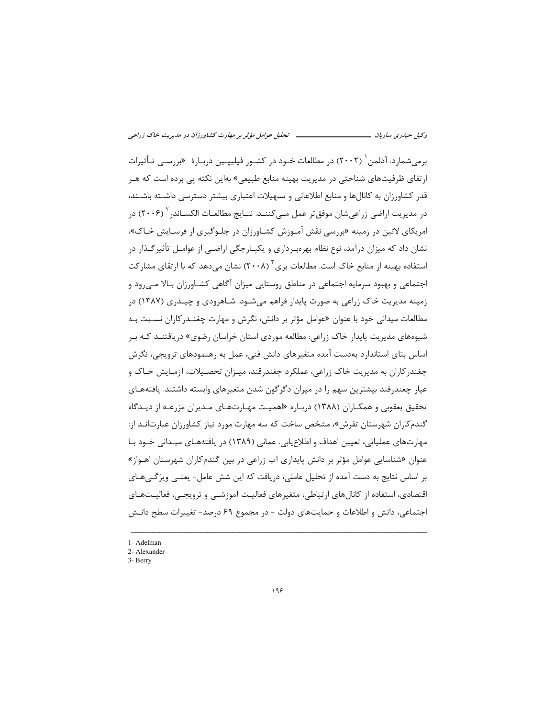برم شمارد. آدلمن ۲۰۰۲) در مطالعات خـود در کشـور فیلیپـین دربـارهٔ «بررسـی تـأثیرات ارتقای ظرفیتهای شناختی در مدیریت بهینه منابع طبیعی» بهاین نکته یی برده است که هـر قدر کشاورزان به کانالها و منابع اطلاعاتی و تسهیلات اعتباری بیشتر دسترسی داشـته باشـند، در مدیریت اراضی زراعیشان موفقتر عمل مـی2ننــد. نتـایج مطالعــات الکســاندر ۲۰۰۶) در امریکای لاتین در زمینه «بررسی نقش آمـوزش کشـاورزان در جلـوگیری از فرسـایش خـاک»، نشان داد که میزان درآمد، نوع نظام بهرهبـرداری و یکپـارچگی اراضـی از عوامـل تأثیرگـذار در استفاده بهینه از منابع خاک است. مطالعات بری<sup>۳</sup> (۲۰۰۸) نشان می۵هد که با ارتقای مشارکت اجتماعی و بهبود سرمایه اجتماعی در مناطق روستایی میزان آگاهی کشـاورزان بـالا مـی٬ود و زمینه مدیریت خاک زراعی به صورت پایدار فراهم می شـود. شـاهرودی و چیـذری (۱۳۸۷) در مطالعات میدانی خود با عنوان «عوامل مؤثر بر دانش، نگرش و مهارت چغنـدركاران نسـبت بـه شیوههای مدیریت پایدار خاک زراعی: مطالعه موردی استان خراسان رضوی» دریافتنـد کـه بـر اساس بتای استاندارد بهدست آمده متغیرهای دانش فنی، عمل به رهنمودهای ترویجی، نگرش چغندرکاران به مدیریت خاک زراعی، عملکرد چغندرقند، میـزان تحصـیلات، آزمـایش خـاک و عیار چغندرقند بیشترین سهم را در میزان دگرگون شدن متغیرهای وابسته داشتند. یافتههـای تحقیق یعقوبی و همکـاران (۱۳۸۸) دربـاره «اهمیـت مهـارتـهـای مـدیران مزرعـه از دیـدگاه گندم کاران شهرستان تفرش»، مشخص ساخت که سه مهارت مورد نیاز کشاورزان عبارتانـد از: مهارتهای عملیاتی، تعیین اهداف و اطلاع یابی. عمانی (۱۳۸۹) در یافتههـای میـدانی خـود بـا عنوان «شناسایی عوامل مؤثر بر دانش پایداری آب زراعی در بین گندم کاران شهرستان اهـواز» بر اساس نتایج به دست آمده از تحلیل عاملی، دریافت که این شش عامل- یعنــی ویژگــیهــای اقتصادی، استفاده از کانال های ارتباطی، متغیرهای فعالیت آموزشبی و ترویجیی، فعالیـتهـای اجتماعی، دانش و اطلاعات و حمایتهای دولت - در مجموع ۶۹ درصد- تغییرات سطح دانـش

<sup>1-</sup> Adelman

<sup>2-</sup> Alexander

<sup>3-</sup> Berry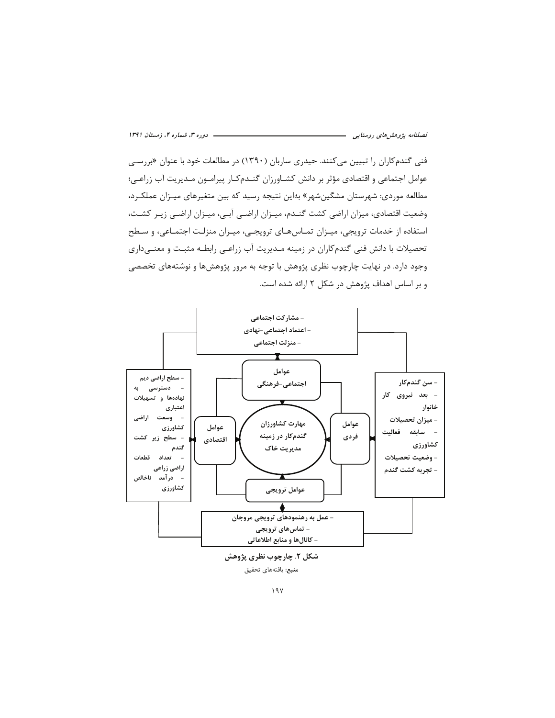فنی گندم کاران را تبیین می *ک*نند. حیدری ساربان (۱۳۹۰) در مطالعات خود با عنوان «بررس*ی* عوامل اجتماعی و اقتصادی مؤثر بر دانش کشـاورزان گنــدمکـار پیرامــون مــدیریت آب زراعــی؛ مطالعه موردی: شهرستان مشگینشهر» بهاین نتیجه رسید که بین متغیرهای میـزان عملکـرد، وضعیت اقتصادی، میزان اراضی کشت گنـدم، میـزان اراضـی آبـی، میـزان اراضـی زیـر کشـت، استفاده از خدمات ترويجي، ميـزان تمـاسهـاي ترويجـي، ميـزان منزلـت اجتمـاعي، و سـطح تحصیلات با دانش فنی گندمکاران در زمینه مـدیریت آب زراعـی رابطـه مثبـت و معنـیداری وجود دارد. در نهایت چارچوب نظری پژوهش با توجه به مرور پژوهشها و نوشتههای تخصصی و بر اساس اهداف پژوهش در شکل ۲ ارائه شده است.



شکل ۲. چارچوب نظری پژوهش منبع: يافتههاى تحقيق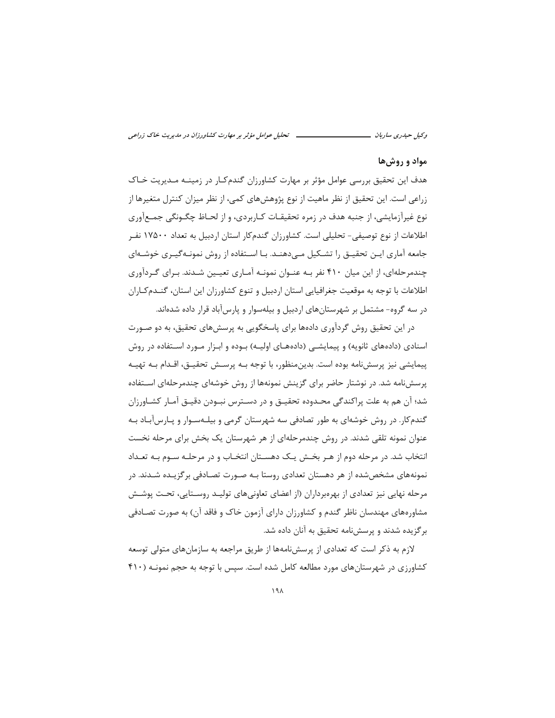#### مواد و روشها

هدف این تحقیق بررسی عوامل مؤثر بر مهارت کشاورزان گندم کـار در زمینــه مــدیریت خــاک زراعی است. این تحقیق از نظر ماهیت از نوع پژوهشهای کمی، از نظر میزان کنترل متغیرها از نوع غیرآزمایشی، از جنبه هدف در زمره تحقیقـات کـاربردی، و از لحـاظ چگـونگی جمـعآوری اطلاعات از نوع توصیفی- تحلیلی است. کشاورزان گندمکار استان اردبیل به تعداد ۱۷۵۰۰ نفـر جامعه آماری ایـن تحقیـق را تشـكیل مـىدهنـد. بـا اسـتفاده از روش نمونـهگیـری خوشـهای چندمرحلهای، از این میان ۴۱۰ نفر بـه عنـوان نمونـه آمـاری تعیـین شـدند. بـرای گـردآوری اطلاعات با توجه به موقعیت جغرافیایی استان اردبیل و تنوع کشاورزان این استان، گنــدمکـاران در سه گروه- مشتمل بر شهرستانهای اردبیل و بیلهسوار و پارسآباد قرار داده شدهاند.

در این تحقیق روش گردآوری دادهها برای پاسخگویی به پرسشهای تحقیق، به دو صـورت اسنادی (دادههای ثانویه) و پیمایشـی (دادههـای اولیـه) بـوده و ابـزار مـورد اسـتفاده در روش پیمایشی نیز پرسشiامه بوده است. بدینِمنظور، با توجه بـه پرســش تحقیــق، اقــدام بــه تهیــه پرسشنامه شد. در نوشتار حاضر برای گزینش نمونهها از روش خوشهای چندمرحلهای استفاده شد؛ آن هم به علت پراکندگی محـدوده تحقیــق و در دســترس نبــودن دقیــق آمــار کشــاورزان گندم کار. در روش خوشهای به طور تصادفی سه شهرستان گرمی و بیلـهسـوار و پـارس آبـاد بـه عنوان نمونه تلقی شدند. در روش چندمرحلهای از هر شهرستان یک بخش برای مرحله نخست انتخاب شد. در مرحله دوم از هـر بخـش یـک دهسـتان انتخـاب و در مرحلـه سـوم بـه تعـداد نمونههای مشخص شده از هر دهستان تعدادی روستا بـه صـورت تصـادفی برگزیـده شـدند. در مرحله نهایی نیز تعدادی از بهرهبرداران (از اعضای تعاونیهای تولیـد روسـتایی، تحـت پوشـش مشاورههای مهندسان ناظر گندم و کشاورزان دارای آزمون خاک و فاقد آن) به صورت تصـادفی برگزیده شدند و پرسشنامه تحقیق به آنان داده شد.

لازم به ذکر است که تعدادی از پرسشنامهها از طریق مراجعه به سازمانهای متولی توسعه کشاورزی در شهرستانهای مورد مطالعه کامل شده است. سپس با توجه به حجم نمونـه (۴۱۰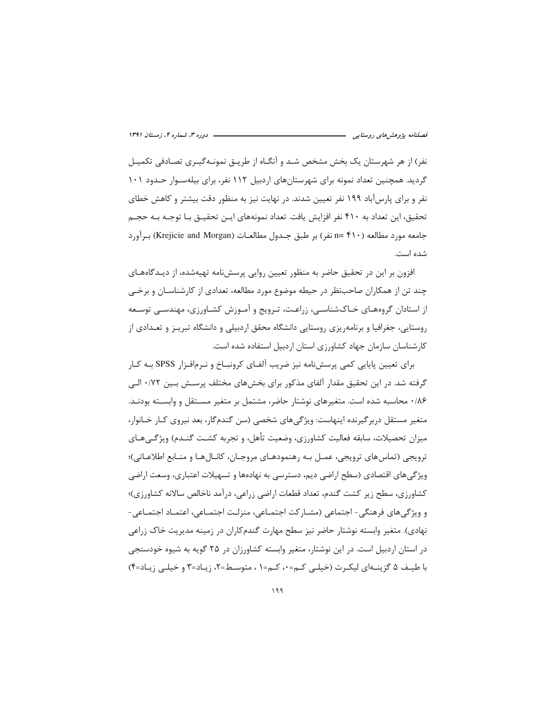نفر) از هر شهرستان یک بخش مشخص شـد و آنگـاه از طریـق نمونـهگیـری تصـادفی تکمیـل گردید. همچنین تعداد نمونه برای شهرستانهای اردبیل ۱۱۲ نفر، برای بیلهسـوار حـدود ۱۰۱ نفر و برای پارسآباد ۱۹۹ نفر تعیین شدند. در نهایت نیز به منظور دقت بیشتر و کاهش خطای تحقیق، این تعداد به ۴۱۰ نفر افزایش یافت. تعداد نمونههای ایـن تحقیــق بـا توجــه بــه حجــم جامعه مورد مطالعه (۴۱۰ =n نفر) بر طبق جـدول مطالعــات (Krejicie and Morgan) بــرآورد شده است.

افزون بر این در تحقیق حاضر به منظور تعیین روایی پرسشiامه تهیهشده، از دیـدگاههــای چند تن از همکاران صاحبنظر در حیطه موضوع مورد مطالعه، تعدادی از کارشناسـان و برخــی از استادان گروههـای خـاکشناسـی، زراعـت، تـرویج و آمـوزش کشـاورزی، مهندسـی توسـعه روستایی، جغرافیا و برنامهریزی روستایی دانشگاه محقق اردبیلی و دانشگاه تبریـز و تعـدادی از كارشناسان سازمان جهاد كشاورزى استان اردبيل استفاده شده است.

برای تعیین پایایی کمی پرسشiامه نیز ضریب آلفـای کرونبــاخ و نــرمافــزار SPSS بــه کــار گرفته شد. در این تحقیق مقدار آلفای مذکور برای بخشهای مختلف پرسـش بـین ۰/۷۲ الـی ۰/۸۶ محاسبه شده است. متغیرهای نوشتار حاضر، مشتمل بر متغیر مستقل و وابسته بودنـد. متغیر مستقل دربر گیرنده اینهاست: ویژگی های شخصی (سن گندمگار، بعد نیروی کـار خـانوار، ميزان تحصيلات، سابقه فعاليت كشاورزي، وضعيت تأهل، و تجربه كشـت گنـدم) ويژگـي هـاي ترويجي (تماس هاي ترويجي، عمـل بـه رهنمودهـاي مروجـان، كانـال هـا و منـابع اطلاعـاتي)؛ ویژگی های اقتصادی (سطح اراضی دیم، دسترسی به نهادهها و تسهیلات اعتباری، وسعت اراضی كشاورزي، سطح زير كشت گندم، تعداد قطعات اراضي زراعي، درآمد ناخالص سالانه كشاورزي)؛ و ويژگي هاي فرهنگي- اجتماعي (مشـار كت اجتمـاعي، منزلـت اجتمـاعي، اعتمـاد اجتمـاعي-نهادی). متغیر وابسته نوشتار حاضر نیز سطح مهارت گندمکاران در زمینه مدیریت خاک زراعی در استان اردبیل است. در این نوشتار، متغیر وابسته کشاورزان در ۲۵ گویه به شیوه خودسنجی با طيف ۵ گزينـهاي ليكـرت (خيلـي كـم=۰، كـم=۱ ، متوسـط=۲، زيـاد=۳ و خيلـي زيـاد=۴)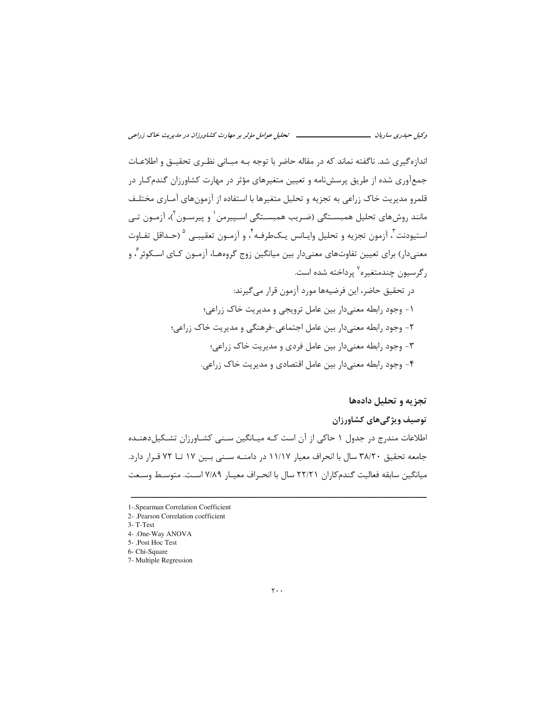اندازهگیری شد. ناگفته نماند که در مقاله حاضر با توجه بـه مبـانی نظـری تحقیـق و اطلاعـات جمعآوری شده از طریق پرسشنامه و تعیین متغیرهای مؤثر در مهارت کشاورزان گندمکار در قلمرو مدیریت خاک زراعی به تجزیه و تحلیل متغیرها با استفاده از آزمونهای آمـاری مختلـف مانند روشهای تحلیل همبسـتگی (ضـریب همبسـتگی اسـپیرمن ٰ و پیرسـون ٔ)، آزمـون تـی استيودنت<sup>"</sup>، آزمون تجزيه و تحليل وايــانس يــكـطرفــه <sup>۴</sup>، و آزمــون تعقيبــي <sup>۵</sup> (حــداقل تفــاوت معنیدار) برای تعیین تفاوتهای معنیدار بین میانگین زوج گروههـا، آزمـون کـای اسـکوئر ً، و رگرسیون چندمتغیره<sup>۷</sup> پرداخته شده است.

> در تحقیق حاضر، این فرضیهها مورد آزمون قرار می گیرند: ١- وجود رابطه معنىدار بين عامل ترويجي و مديريت خاک زراعي؛ ۲- وجود رابطه معنیدار بین عامل اجتماعی-فرهنگی و مدیریت خاک زراعی؛ ۳- وجود رابطه معنىدار بين عامل فردي و مديريت خاک زراعي؛ ۴- وجود رابطه معنیدار بین عامل اقتصادی و مدیریت خاک زراعی.

### تجزیه و تحلیل دادهها

### توصيف ويژگىهاى كشاورزان

اطلاعات مندرج در جدول ١ حاكي از آن است كـه ميـانگين سـنى كشـاورزان تشـكيل دهنـده جامعه تحقيق ٣٨/٢٠ سال با انحراف معيار ١١/١٧ در دامنــه ســني بـين ١٧ تــا ٧٢ قـرار دارد. ميانگين سابقه فعاليت گندم كاران ٢٢/٢١ سال با انحـراف معيـار ٧/٨٩ اسـت. متوسـط وسـعت

<sup>1-.</sup> Spearman Correlation Coefficient

<sup>2- .</sup>Pearson Correlation coefficient

 $3 - T - Test$ 

<sup>4- .</sup>One-Way ANOVA

<sup>5- .</sup>Post Hoc Test

<sup>6-</sup> Chi-Square

<sup>7-</sup> Multiple Regression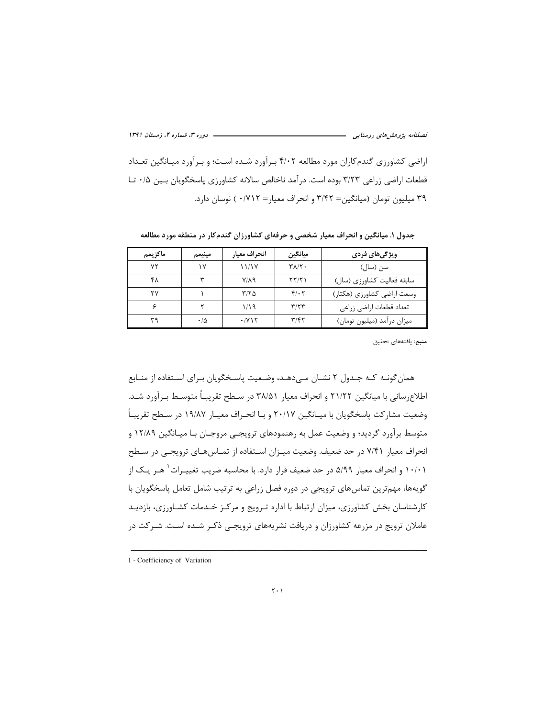– دوره ۳، شماره ۴، زمستان ۱۳۹۱ فصلنامه پژوهشرهای روستایی مست<del>سست</del> اراضی کشاورزی گندم کاران مورد مطالعه ۴/۰۲ بـرآورد شـده اسـت؛ و بـرآورد میـانگین تعـداد قطعات اراضی زراعی ۳/۲۳ بوده است. درآمد ناخالص سالانه کشاورزی پاسخگویان بسین ۰/۵ تـا ٣٩ ميليون تومان (ميانگين= ٣/۴٢ و انحراف معيار= ٠/٧١٢ ) نوسان دارد.

| ماكزيمم | مينيمم | انحراف معيار            | ميانگين                 | ویژگیهای فردی              |
|---------|--------|-------------------------|-------------------------|----------------------------|
| ۷۲      | ۱۷     | 11/1Y                   | $Y\Lambda/Y$ .          | سن (سال)                   |
| ۴۸      | ٣      | $V/\lambda$ 9           | ۲۲/۲۱                   | سابقه فعالیت کشاورزی (سال) |
| ۲٧      |        | ۳/۲۵                    | $f(\cdot)$              | وسعت اراضي كشاورزي (هكتار) |
|         |        | ۱/۱۹                    | $\mathbf{y}/\mathbf{y}$ | تعداد قطعات اراضي زراعي    |
| ۳۹      | ۰۱۵    | $\cdot$ /Y \ $\Upsilon$ | ۳/۴۲                    | میزان درآمد (میلیون تومان) |

جدول ۱. میانگین و انحراف معیار شخصی و حرفهای کشاورزان گندمکار در منطقه مورد مطالعه

**منبع**: يافتههاى تحقيق

همان گونـه كـه جـدول ٢ نشـان مـى‹هـد، وضـعيت پاسـخگويان بـراى اسـتفاده از منـابع اطلاعرسانی با میانگین ۲۱/۲۲ و انحراف معیار ۳۸/۵۱ در سـطح تقریبـاً متوسـط بـرآورد شـد. وضعیت مشارکت پاسخگویان با میـانگین ۲۰/۱۷ و بـا انحـراف معیـار ۱۹/۸۷ در سـطح تقریبـاً متوسط برآورد گردید؛ و وضعیت عمل به رهنمودهای ترویجی مروجـان بـا میـانگین ۱۲/۸۹ و انحراف معیار ۷/۴۱ در حد ضعیف. وضعیت میـزان اسـتفاده از تمـاس۵هـای ترویجـی در سـطح ۱۰/۰۱ و انحراف معیار ۵/۹۹ در حد ضعیف قرار دارد. با محاسبه ضریب تغییـرات<sup>۱</sup> هـر یـک از گویهها، مهم ترین تماس های ترویجی در دوره فصل زراعی به ترتیب شامل تعامل یاسخگویان با كارشناسان بخش كشاورزي، ميزان ارتباط با اداره ترويج و مركز خـدمات كشـاورزي، بازديـد عاملان ترویج در مزرعه کشاورزان و دریافت نشریههای ترویجـی ذکـر شـده اسـت. شـرکت در

<sup>1 -</sup> Coefficiency of Variation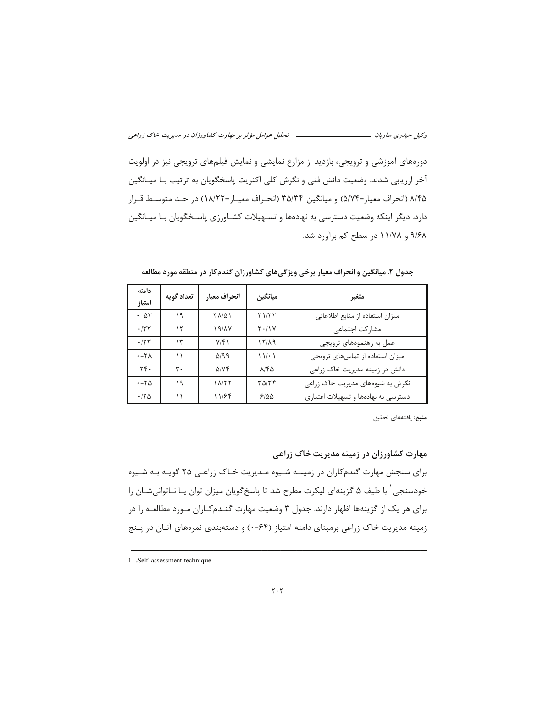دورههای آموزشی و ترویجی، بازدید از مزارع نمایشی و نمایش فیلمهای ترویجی نیز در اولویت آخر ارزیابی شدند. وضعیت دانش فنی و نگرش کلی اکثریت پاسخگویان به ترتیب بـا میـانگین ۸/۴۵ (انحراف معيار=۵/۷۴) و ميانگين ۳۵/۳۴ (انحـراف معيـار=۱۸/۲۲) در حـد متوسـط قـرار دارد. دیگر اینکه وضعیت دسترسی به نهادهها و تسـهیلات کشـاورزی پاسـخگویان بـا میـانگین ۹/۶۸ و ۱۱/۷۸ در سطح کم برآورد شد.

| دامنه<br>امتياز     | تعداد گويه | انحراف معيار | ميانگين       | متغير                               |
|---------------------|------------|--------------|---------------|-------------------------------------|
| $\cdot - \Delta Y$  | ۱۹         | ۳۸/۵۱        | ۲۱/۲۲         | میزان استفاده از منابع اطلاعاتی     |
| .77                 | ۱۲         | 19/1V        | $Y \cdot / Y$ | مشاركت اجتماعى                      |
| .157                | ۱۳         | V/F          | 17/19         | عمل به رهنمودهای ترویجی             |
| $\cdot$ -۲۸         | ۱۱         | $\Delta$ /99 | $11! \cdot 1$ | میزان استفاده از تماس های ترویجی    |
| $-Y \mathfrak{F}$ . | ۳٠         | $\Delta$ /YF | $\lambda$ /۴۵ | دانش در زمینه مدیریت خاک زراعی      |
| $-50$               | ۱۹         | 18/۲۲        | ۳۵/۳۴         | نگرش به شیوههای مدیریت خاک زراعی    |
| $\cdot$ /۲۵         | ۱۱         | 11/۶۴        | 9100          | دسترسی به نهادهها و تسهیلات اعتباری |

جدول ۲. میانگین و انحراف معیار برخی ویژگیهای کشاورزان گندمکار در منطقه مورد مطالعه

منبع: يافتههاى تحقيق

مهارت کشاورزان در زمینه مدیریت خاک زراعی

برای سنجش مهارت گندم کاران در زمینـه شـیوه مـدیریت خـاک زراعـی ۲۵ گویـه بـه شـیوه خودسنجی ٰ با طیف ۵ گزینهای لیکرت مطرح شد تا پاسخگویان میزان توان یـا نــاتوانیشــان را برای هر یک از گزینهها اظهار دارند. جدول ۳ وضعیت مهارت گنــدمکـاران مــورد مطالعــه را در زمینه مدیریت خاک زراعی برمبنای دامنه امتیاز (۶۴-۰) و دستهبندی نمرههای آنان در پنج

<sup>1- .</sup>Self-assessment technique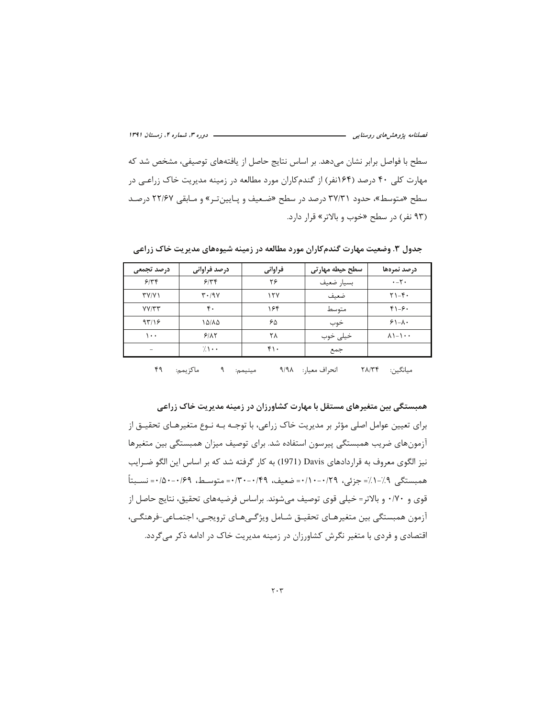– دوره ۳، شماره ۴، زمستان ۱۳۹۱ فصلنامه پژوهشهای روستایی –

سطح با فواصل برابر نشان می دهد. بر اساس نتایج حاصل از یافتههای توصیفی، مشخص شد که مهارت کلی ۴۰ درصد (۱۶۴نفر) از گندمکاران مورد مطالعه در زمینه مدیریت خاک زراعـی در سطح «متوسط»، حدود ۳۷/۳۱ درصد در سطح «ضعیف و پـایینتـر» و مـابقی ۲۲/۶۷ درصـد (۹۳ نفر) در سطح «خوب و بالاتر» قرار دارد.

| درصد تجمعی                | درصد فراوانی                    | فراوانى   | سطح حیطه مهارتی | درصد نمرهها                               |
|---------------------------|---------------------------------|-----------|-----------------|-------------------------------------------|
| 9/77                      | 9/77                            | ۲۶        | بسيار ضعيف      | $\cdot - \tau \cdot$                      |
| $\Upsilon$ Y/Y $\Upsilon$ | $\mathbf{r} \cdot 19\mathbf{V}$ | 15V       | ضعيف            | $Y$ ) $-F$ .                              |
| YY/YY                     | ۴.                              | ۱۶۴       | متوسط           | $f \rightarrow -9$                        |
| 97/19                     | ۱۵/۸۵                           | ۶۵        | خوب             | $91 - \lambda$                            |
| ۰۰۱                       | 9/17                            | ٢٨        | خيلى خوب        | $\lambda$ $\lambda$ - $\lambda$ - $\cdot$ |
|                           | $\sqrt{1}$ .                    | $f \cdot$ | جمع             |                                           |
|                           |                                 |           |                 |                                           |

جدول ۳. وضعیت مهارت گندم کاران مورد مطالعه در زمینه شیوههای مدیریت خاک زراعی

ماكزيمم: ۴۹ مينيمم: ۹ انحراف معيار: ٩/٩٨ ميانگين: ٢٨/٣۴

همبستگی بین متغیرهای مستقل با مهارت کشاورزان در زمینه مدیریت خاک زراعی برای تعیین عوامل اصلی مؤثر بر مدیریت خاک زراعی، با توجـه بـه نـوع متغیرهـای تحقیـق از آزمونهای ضریب همبستگی پیرسون استفاده شد. برای توصیف میزان همبستگی بین متغیرها نیز الگوی معروف به قراردادهای Davis (1971) به کار گرفته شد که بر اساس این الگو ضـرایب همىستگى ٩٪-١٪= جزئي، ٢٩/٠-١٠١٠= ضعيف، ٢٩/٠-٣٠٣٠ = متوسـط، ٢٩/٠-١۵٠+ = نســبتاً قوی و ۷۰/۰ و بالاتر= خیلی قوی توصیف می شوند. براساس فرضیههای تحقیق، نتایج حاصل از آزمون همبستگی بین متغیرهـای تحقیــق شــامل ویژگــیهــای ترویجــی، اجتمــاعی-فرهنگــی، اقتصادی و فردی با متغیر نگرش کشاورزان در زمینه مدیریت خاک در ادامه ذکر میگردد.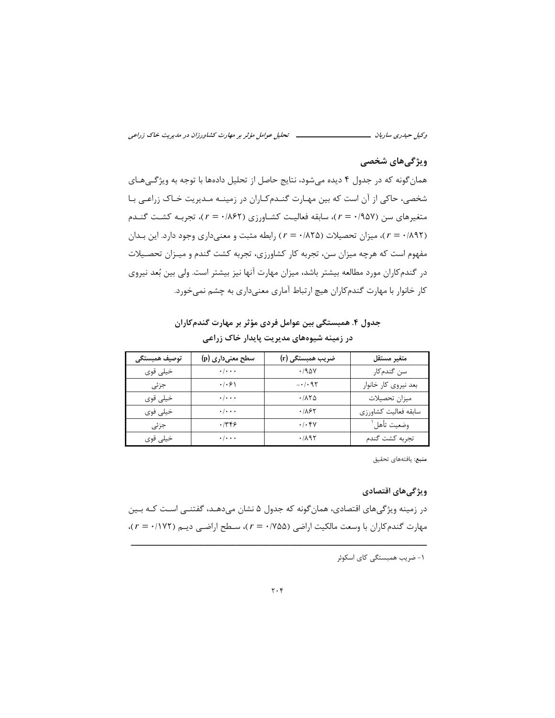### ویژگی های شخصی

همان گونه که در جدول ۴ دیده می شود، نتایج حاصل از تحلیل دادهها با توجه به ویژگی هـای شخصی، حاکی از آن است که بین مهارت گنـدمکاران در زمینـه مـدیریت خـاک زراعـی بـا متغیرهای سن (۱۹۵۷/ - ۳)، سابقه فعالیت کشـاورزی (۱۸۶۲/ - = ۲)، تجربـه کشـت گنـدم (٢=٠/٨٩٢)، ميزان تحصيلات (٢٤٨/٨٢٥) رابطه مثبت و معنىدارى وجود دارد. اين بـدان مفهوم است که هرچه میزان سن، تجربه کار کشاورزی، تجربه کشت گندم و میـزان تحصـیلات در گندم کاران مورد مطالعه بیشتر باشد، میزان مهارت آنها نیز بیشتر است. ولی بین بُعد نیروی کار خانوار با مهارت گندمکاران هیچ ارتباط آماری معنیداری به چشم نمی خورد.

جدول ۴. همبستگی بین عوامل فردی مؤثر بر مهارت گندمکاران در زمینه شیوههای مدیریت پایدار خاک زراعی

| توصيف همبستگى | سطح معنیداری (p)          | ضریب همبستگی (r) | متغير مستقل          |
|---------------|---------------------------|------------------|----------------------|
| خيلي قوي      | $\cdot$ / $\cdot$ $\cdot$ | .790V            | سن گندمکار           |
| جزئى          | .  .9                     | $-1.95$          | بعد نیروی کار خانوار |
| خيلى قوى      | $\cdot$ / $\cdot$ $\cdot$ | .7170            | ميزان تحصيلات        |
| خيلى فوي      | $\cdot$ / $\cdot$ $\cdot$ | .781             | سابقه فعاليت كشاورزى |
| جزئى          | .1489                     | .1.94            | وضعيت تأهل ا         |
| خيلى قوى      | $\cdot/\cdot\cdot\cdot$   | .7197            | تجربه كشت گندم       |

منبع: يافتههاى تحقيق

### ويژگىهاى اقتصادى

در زمینه ویژگی های اقتصادی، همان گونه که جدول ۵ نشان می دهـد، گفتنــی اسـت کــه بــین مهارت گندم كاران با وسعت مالكيت اراضي (٢٥٨/ ٢ = ٢)، سطح اراضي ديم (١٧٢/ ٢ = ٢)،

۱- ضریب همبستگی کای اسکوئر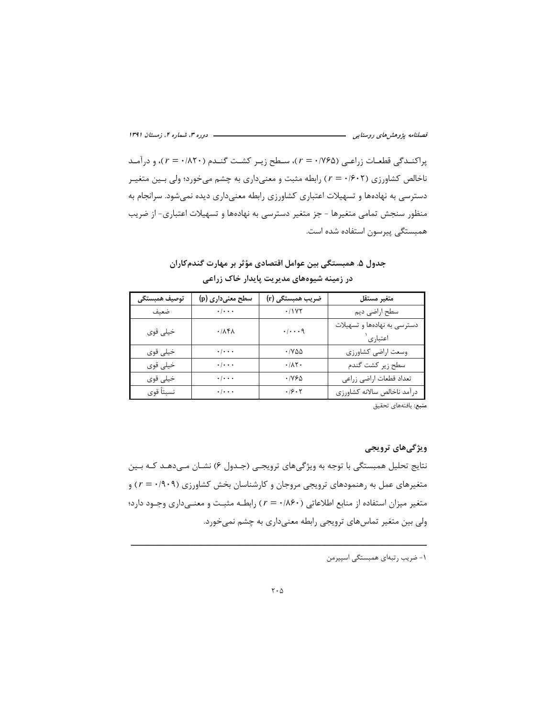– دوره ۳، شماره ۴، زمستان ۱۳۹۱ 

پراکندگی قطعات زراعی (۱۷۶۵ - r)، سطح زیر کشت گندم ( ۲۰/۲۰ - r)، و درآمد ناخالص کشاورزی (۲۰+۶۰ × ) رابطه مثبت و معنیداری به چشم میخورد؛ ولی بـین متغیـر دسترسی به نهادهها و تسهیلات اعتباری کشاورزی رابطه معنیداری دیده نمیشود. سرانجام به منظور سنجش تمامی متغیرها – جز متغیر دسترسی به نهادهها و تسهیلات اعتباری- از ضریب همبستگی پیرسون استفاده شده است.

| جدول ۵. همبستگی بین عوامل اقتصادی مؤثر بر مهارت گندمکاران |
|-----------------------------------------------------------|
| در زمینه شیوههای مدیریت پایدار خاک زراعی                  |

| توصيف همبستگى | سطح معنیداری (p)                | ضریب همبستگی (r)             | متغير مستقل                              |
|---------------|---------------------------------|------------------------------|------------------------------------------|
| ضعيف          | $\cdot$ / $\cdot$ $\cdot$       | .11YY                        | سطح اراضى ديم                            |
| خيلى قوى      | $\cdot$ / $\lambda$ ۴ $\lambda$ | . / q                        | دسترسی به نهادهها و تسهیلات<br>اعتباری ` |
| خيلي قوي      | $\cdot$ / $\cdot$ $\cdot$       | $\cdot$ / $\vee$ $\triangle$ | وسعت اراضي كشاورزي                       |
| خيلي قوي      | $\cdot/\cdot\cdot\cdot$         | $\cdot/\lambda$ ۲.           | سطح زير كشت گندم                         |
| خيلي قوي      | $\cdot$   $\cdot$ $\cdot$       | ۰/۷۶۵                        | تعداد قطعات اراضي زراعي                  |
| نسبتاً قوى    | $\cdot$ / $\cdot$ $\cdot$       | .19.7                        | درآمد ناخالص سالانه كشاورزى              |

**منبع**: يافتههاى تحقيق

### ویژگیهای ترویجی

نتايج تحليل همبستگي با توجه به ويژگيهاي ترويجي (جـدول ۶) نشـان مـي‹هـد كـه بـين متغیرهای عمل به رهنمودهای ترویجی مروجان و کارشناسان بخش کشاورزی (۰/۹۰۹) و متغیر میزان استفاده از منابع اطلاعاتی (۴۰/۸۶۰ ـ r) رابطـه مثبـت و معنـیداری وجـود دارد؛ ولی بین متغیر تماسهای ترویجی رابطه معنیداری به چشم نمیخورد.

١- ضريب رتبهاي همبستگي اسپيرمن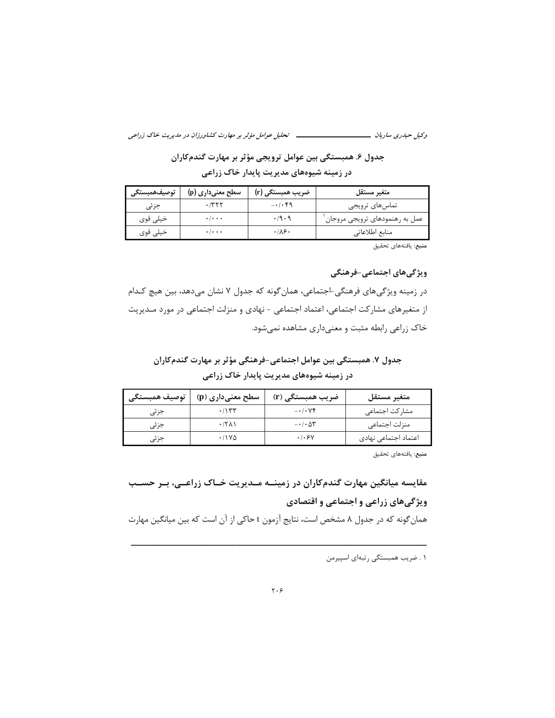جدول ۶. همبستگی بین عوامل ترویجی مؤثر بر مهارت گندمکاران

در زمینه شیوههای مدیریت پایدار خاک زراعی

| توصيف همبستگى | ۔ سطح معنیداری (p)        | ضریب همبستگی (r) | متغير مستقل                      |
|---------------|---------------------------|------------------|----------------------------------|
| جزئی          | ۲۲۲۰.                     | $-1.69$          | تماسهای ترویجی                   |
| خيلي قوي      | $\cdot$ / $\cdot$ .       | .79.9            | عمل به رهنمودهای ترویجی مروجان ٰ |
| خیلی قوی      | $\cdot$ / $\cdot$ $\cdot$ | .18.             | منابع اطلاعاتی                   |

منبع: يافتههاى تحقيق

ویژگیهای اجتماعی-فرهنگی

در زمینه ویژگیهای فرهنگی-اجتماعی، همان گونه که جدول ۷ نشان میدهد، بین هیچ کـدام از متغیرهای مشارکت اجتماعی، اعتماد اجتماعی - نهادی و منزلت اجتماعی در مورد مـدیریت خاک زراعی رابطه مثبت و معنیداری مشاهده نمیشود.

جدول ٧. همبستگی بین عوامل اجتماعی-فرهنگی مؤثر بر مهارت گندمکاران در زمینه شیوههای مدیریت پایدار خاک زراعی

| توصيف همبستگى | سطح معنیداری (p) | ضریب همبستگی (r)           | متغير مستقل          |
|---------------|------------------|----------------------------|----------------------|
| جزئى          | .715             | $-1.1$                     | مشاركت اجتماعى       |
| جزئى          | $\cdot$ /۲۸۱     | $- \cdot / \cdot \Delta Y$ | منزلت اجتماعي        |
| جزئی          | $.11Y\Delta$     | .1.8V                      | اعتماد اجتماعی نهادی |

منبع: يافتههاى تحقيق

مقایسه میانگین مهارت گندمکاران در زمینــه مــدیریت خــاک زراعــی، بــر حســب ویژگیهای زراعی و اجتماعی و اقتصادی

همان گونه که در جدول ۸ مشخص است، نتایج آزمون t حاکی از آن است که بین میانگین مهارت

١ . ضريب همبستگي رتبهاي اسپيرمن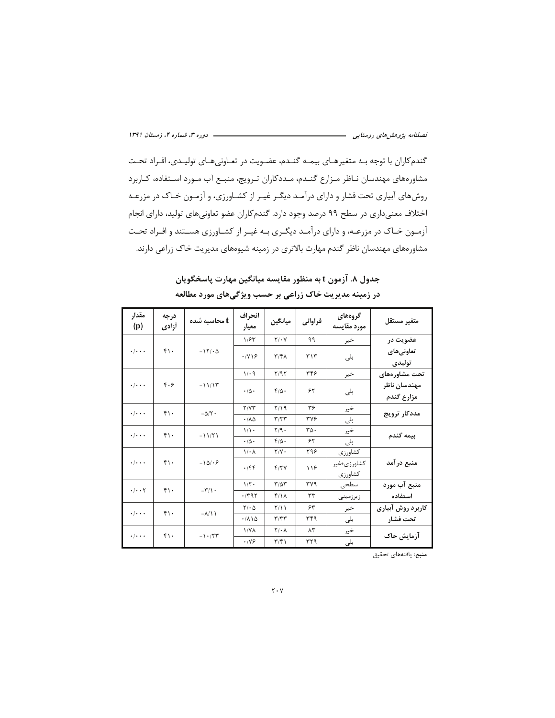گندمکاران با توجه بـه متغیرهـای بیمـه گنـدم، عضـویت در تعـاونی۵هـای تولیـدی، افـراد تحـت مشاورههای مهندسان نـاظر مـزارع گنـدم، مـددکاران تـرويج، منبـع آب مـورد اسـتفاده، کـاربرد روشهای آبیاری تحت فشار و دارای درآمـد دیگـر غیـر از کشـاورزی، و آزمـون خـاک در مزرعـه اختلاف معنیداری در سطح ۹۹ درصد وجود دارد. گندم کاران عضو تعاونیهای تولید، دارای انجام آزمون خـاک در مزرعـه، و دارای درآمـد دیگـری بـه غیـر از کشـاورزی هسـتند و افـراد تحـت مشاورههای مهندسان ناظر گندم مهارت بالاتری در زمینه شیوههای مدیریت خاک زراعی دارند.

| مقدار<br>(p)                 | درجه<br>أزادي | t محاسبه شده         | انحراف<br>معيار   | ميانگين                 | فراوانى        | گروههای<br>مورد مقايسه | متغير مستقل       |  |
|------------------------------|---------------|----------------------|-------------------|-------------------------|----------------|------------------------|-------------------|--|
|                              |               |                      | 1/57              | $Y/\cdot Y$             | ۹۹             | خير                    | عضویت در          |  |
| $\cdot$ / $\cdot$ $\cdot$    | $f \cdot$     | $-15/20$             | .1Y19             | $\mathbf{r}/\mathbf{r}$ | ٣١٣            | بلی                    | تعاونيهاي         |  |
|                              |               |                      |                   |                         |                |                        | توليدى            |  |
|                              |               |                      | 1/29              | Y/9Y                    | ۳۴۶            | خير                    | تحت مشاورههای     |  |
| $\cdot$ / $\cdot$ $\cdot$    | F.9           | $-11/17$             | $\cdot/\Delta$ .  | $f/\Delta$ .            | ۶۲             |                        | مهندسان ناظر      |  |
|                              |               |                      |                   |                         |                | بلى                    | مزارع گندم        |  |
| $\cdot$ / $\cdot$ $\cdot$    | ۴۱۰           | $-\Delta/\Upsilon$ . | Y/YY              | 7/19                    | ۳۶             | خير                    | مددكار ترويج      |  |
|                              |               |                      | .110              | T/T                     | <b>٣٧۶</b>     | بلى                    |                   |  |
| $\cdot$ / $\cdot$ $\cdot$    | $f \cdot$     | $-11/51$             | 1/1               | $Y/9$ .                 | ٣۵٠            | خير                    | بيمه گندم         |  |
|                              |               |                      | $\cdot/\Delta$ .  | $f/\Delta$ .            | ۶۲             | بلى                    |                   |  |
|                              |               |                      | $1/\cdot \Lambda$ | $Y/Y$ .                 | ۲۹۶            | كشاورزى                |                   |  |
| $\cdot$ / $\cdot$ $\cdot$    | $f \cdot$     | $-101.9$             | .799              | Y/Y                     | 118            | كشاورزى+غير            | منبع در آمد       |  |
|                              |               |                      |                   |                         |                | كشاورزى                |                   |  |
| $\cdot/\cdot\cdot\mathsf{Y}$ | $f \cdot$     | $-\tau/\gamma$ .     | $1/\tau$ .        | $T/\Delta T$            | ۳۷۹            | سطحى                   | منبع آب مورد      |  |
|                              |               |                      | .791              | $f/\lambda$             | ٣٣             | زيرزمينى               | استفاده           |  |
| $\cdot$ / $\cdot$ $\cdot$    | ۴۱۰           | $-\lambda/\lambda$   | $Y/\cdot \Delta$  | Y/11                    | ۶۳             | خير                    | كاربرد روش آبيارى |  |
|                              |               |                      | .710              | T/TT                    | ٣۴٩            | بلی                    | تحت فشار          |  |
| $\cdot$ / $\cdot$ $\cdot$    | $f \cdot$     | $-1.75$              | <b>\/YA</b>       | $Y/\cdot \Lambda$       | $\Lambda \tau$ | خير                    | آزمایش خاک        |  |
|                              |               |                      | .199              | $\mathbf{r}/\mathbf{r}$ | ۳۲۹            | بلى                    |                   |  |

جدول ۸. آزمون t به منظور مقايسه ميانگين مهارت پاسخگويان در زمینه مدیریت خاک زراعی بر حسب ویژگیهای مورد مطالعه

**منبع**: يافتههاى تحقيق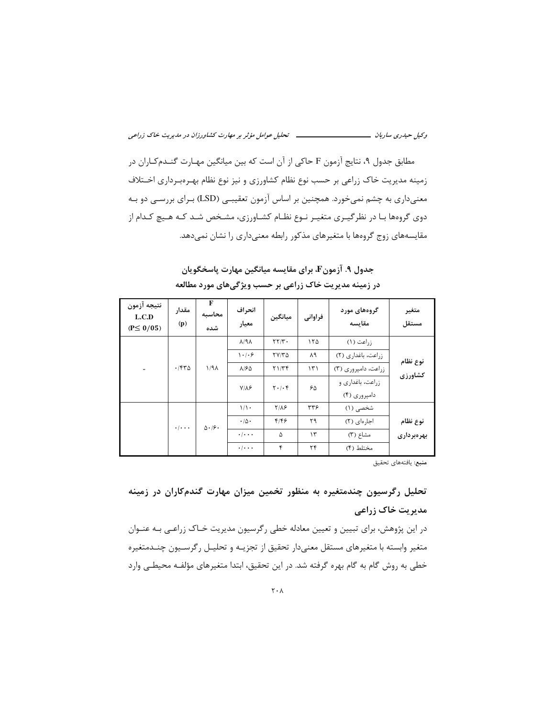مطابق جدول ۹، نتایج آزمون F حاکی از آن است که بین میانگین مهـارت گنــدمکـاران در زمینه مدیریت خاک زراعی بر حسب نوع نظام کشاورزی و نیز نوع نظام بهـرەبـرداری اخـتلاف معنیداری به چشم نمیخورد. همچنین بر اساس آزمون تعقیبـی (LSD) بـرای بررسـی دو بـه دوی گروهها بـا در نظرگیـری متغیـر نـوع نظـام کشـاورزی، مشـخص شـد کـه هـیچ کـدام از مقایسههای زوج گروهها با متغیرهای مذکور رابطه معنیداری را نشان نمیدهد.

جدول ۹. آزمونF، براي مقايسه ميانگين مهارت پاسخگويان در زمینه مدیریت خاک زراعی بر حسب ویژگیهای مورد مطالعه

| نتيجه آزمون<br>L.C.D<br>$(P \le 0/05)$ | مقدار<br>(p)        | F<br>محاسبه<br>شده | انحراف<br>معيار        | ميانگين                              | فراواني       | گروههای مورد<br>مقايسه | متغير<br>مستقل |  |
|----------------------------------------|---------------------|--------------------|------------------------|--------------------------------------|---------------|------------------------|----------------|--|
|                                        |                     |                    | $\lambda$ /٩ $\lambda$ | $\mathbf{Y} \mathbf{Y} / \mathbf{Y}$ | ۱۲۵           | $(1)$ ز, اعت           |                |  |
|                                        |                     | 1/9                | 1.1.9                  | $YY/Y\Delta$                         | ۸۹            | زراعت، باغداری (۲)     | نوع نظام       |  |
|                                        | .7970               |                    | $\lambda$ /۶۵          | Y1/Tf                                | $\mathcal{N}$ | زراعت، دامیروری (۳)    | كشاورزي        |  |
|                                        |                     |                    | $Y/\Lambda$ ۶          | $Y \cdot / \cdot f$                  | ۶۵            | زراعت، باغداری و       |                |  |
|                                        |                     |                    |                        |                                      |               | دامیروری (۴)           |                |  |
|                                        |                     |                    | $1/\lambda$ .          | $Y/\Lambda$ ۶                        | 377           | شخصی (۱)               |                |  |
|                                        | $\cdot$ / $\cdot$ . | $\Delta \cdot 19$  | $\cdot/\Delta$ .       | ۴۱۴۶                                 | ۲۹            | اجارهای (۲)            | نوع نظام       |  |
|                                        |                     |                    | $\cdot$ / $\cdot$ .    | ۵                                    | ۱۳            | مشاع (٣)               | بهر دبر داری   |  |
|                                        |                     |                    | $\cdot$ / $\cdot$ .    | ۴                                    | ۲۴            | مختلط (۴)              |                |  |

منبع: يافتههاى تحقيق

## تحلیل رگرسیون چندمتغیره به منظور تخمین میزان مهارت گندمکاران در زمینه مدیریت خاک زراعی

در این پژوهش، برای تبیین و تعیین معادله خطی رگرسیون مدیریت خـاک زراعـی بـه عنـوان متغیر وابسته با متغیرهای مستقل معنیدار تحقیق از تجزیـه و تحلیـل رگرسـیون چنــدمتغیره خطی به روش گام به گام بهره گرفته شد. در این تحقیق، ابتدا متغیرهای مؤلفـه محیطـی وارد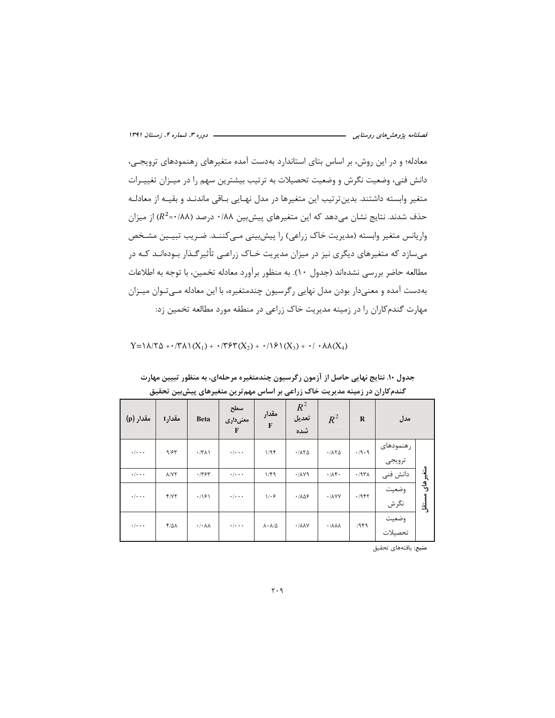معادله؛ و در این روش، بر اساس بتای استاندارد بهدست آمده متغیرهای رهنمودهای ترویجے، دانش فنی، وضعیت نگرش و وضعیت تحصیلات به ترتیب بیشترین سهم را در میـزان تغییـرات متغیر وابسته داشتند. بدین ترتیب این متغیرها در مدل نهـایی بـاقی ماندنـد و بقیـه از معادلـه حذف شدند. نتایج نشان میدهد که این متغیرهای پیشبین ۰/۸۸ درصد (۸۸/۰= $R^2$ ) از میزان واریانس متغیر وابسته (مدیریت خاک زراعی) را پیش بینی مے کننـد. ضـریب تبیـین مشـخص میسازد که متغیرهای دیگری نیز در میزان مدیریت خـاک زراعـی تأثیرگـذار بـودهانـد کـه در مطالعه حاضر بررسی نشدهاند (جدول ١٠). به منظور برآورد معادله تخمين، با توجه به اطلاعات بهدست آمده و معنیدار بودن مدل نهایی رگرسیون چندمتغیره، با این معادله مـیتـوان میـزان مهارت گندمکاران را در زمینه مدیریت خاک زراعی در منطقه مورد مطالعه تخمین زد:

Y= $\lambda$ /Y $\Delta$ +·/Y $\lambda$   $(X_1)$  + ·/Y $\ell(Y_2)$  + ·/ $\ell(Y_3)$  + ·/ · $\lambda \lambda(X_4)$ 

| مقدار (p)                 | مقدارt            | <b>Beta</b>                         | سطح<br>معنىدارى<br>F      | مقدار<br>$\mathbf{F}$          | $R^2$<br>تعديل<br>شده         | $R^2$                             | $\bf{R}$ | مدل                 |           |
|---------------------------|-------------------|-------------------------------------|---------------------------|--------------------------------|-------------------------------|-----------------------------------|----------|---------------------|-----------|
| $\cdot$ / $\cdot$ $\cdot$ | 9/87              | .77                                 | $\cdot$ / $\cdot$ $\cdot$ | 1/9F                           | .7170                         | .1170                             | .49.9    | رهنمودهاى<br>ترويجي |           |
| $\cdot$ / $\cdot$ $\cdot$ | <b>A/VY</b>       | .797                                | $\cdot$ / $\cdot$ $\cdot$ | 1/F9                           | 4.11                          | .715                              | .797A    | دانش فنی            | متغيرهاي  |
| $\cdot$ / $\cdot$ .       | Y/YY              | .191                                | $\cdot$ / $\cdot$ $\cdot$ | 1.9                            | .1109                         | $\cdot$ / $\lambda$ YY            | .7957    | وضعيت<br>نگرش       | أَتَّقَلُ |
| $\cdot$ / $\cdot$ $\cdot$ | $F/\Delta\Lambda$ | $\cdot$ / $\cdot$ $\wedge$ $\wedge$ | $\cdot$ / $\cdot$ $\cdot$ | $\lambda \cdot \lambda/\Delta$ | $\cdot$ / $\lambda \lambda V$ | $\cdot$ / $\lambda\lambda\lambda$ | 1989     | وضعيت<br>تحصيلات    |           |

جدول ۱۰. نتایج نهایی حاصل از آزمون رگرسیون چندمتغیره مرحلهای، به منظور تبیین مهارت گندمکاران در زمینه مدیریت خاک زراعی بر اساس مهم ترین متغیرهای پیش بین تحقیق

**منبع**: يافتههاى تحقيق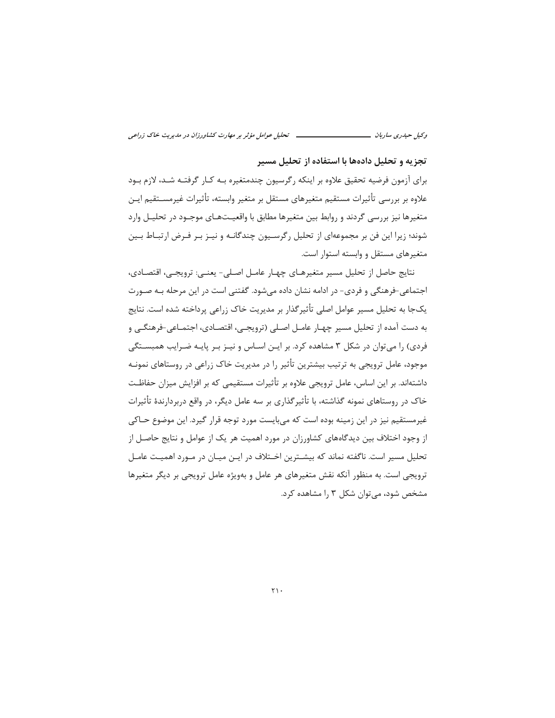### تجزیه و تحلیل دادهها با استفاده از تحلیل مسیر

برای آزمون فرضیه تحقیق علاوه بر اینکه رگرسیون چندمتغیره بـه کـار گرفتـه شـد، لازم بـود علاوه بر بررسی تأثیرات مستقیم متغیرهای مستقل بر متغیر وابسته، تأثیرات غیرمســتقیم ایــن متغیرها نیز بررسی گردند و روابط بین متغیرها مطابق با واقعیـتهـای موجـود در تحلیـل وارد شوند؛ زیرا این فن بر مجموعهای از تحلیل رگرسـیون چندگانـه و نیـز بـر فـرض ارتبـاط بـین متغیرهای مستقل و وابسته استوار است.

نتايج حاصل از تحليل مسير متغيرهـاي چهـار عامـل اصـلي- يعنـي: ترويجـي، اقتصـادي، اجتماعی-فرهنگی و فردی- در ادامه نشان داده می شود. گفتنی است در این مرحله بـه صـورت یکجا به تحلیل مسیر عوامل اصلی تأثیرگذار بر مدیریت خاک زراعی پرداخته شده است. نتایج به دست آمده از تحلیل مسیر چهـار عامـل اصـلی (ترویجـی، اقتصـادی، اجتمـاعی-فرهنگـی و فردی) را میتوان در شکل ۳ مشاهده کرد. بر ایـن اسـاس و نیـز بـر پایـه ضـرایب همبسـتگی موجود، عامل ترویجی به ترتیب بیشترین تأثیر را در مدیریت خاک زراعی در روستاهای نمونـه داشتهاند. بر این اساس، عامل ترویجی علاوه بر تأثیرات مستقیمی که بر افزایش میزان حفاظت خاک در روستاهای نمونه گذاشته، با تأثیرگذاری بر سه عامل دیگر، در واقع دربردارندهٔ تأثیرات غيرمستقيم نيز در اين زمينه بوده است كه مي بايست مورد توجه قرار گيرد. اين موضوع حـاكي از وجود اختلاف بین دیدگاههای کشاورزان در مورد اهمیت هر یک از عوامل و نتایج حاصـل از تحلیل مسیر است. ناگفته نماند که بیشــترین اخــتلاف در ایــن میــان در مــورد اهمیــت عامــل ترویجی است. به منظور آنکه نقش متغیرهای هر عامل و بهویژه عامل ترویجی بر دیگر متغیرها مشخص شود، می توان شکل ۳ را مشاهده کرد.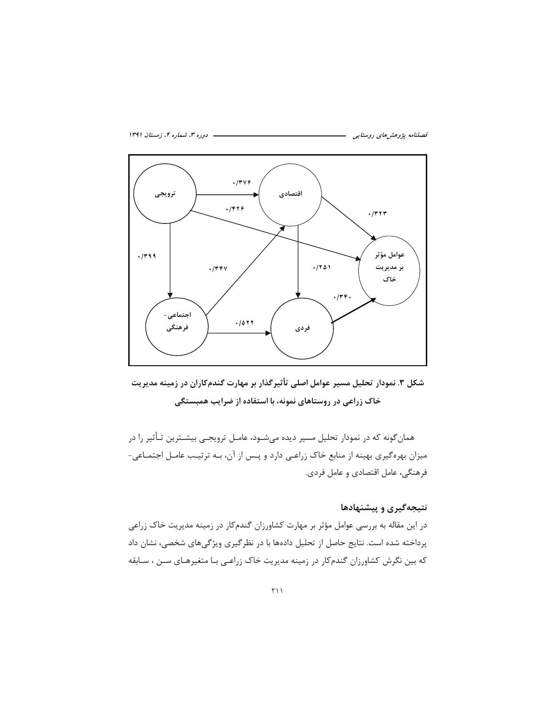



شکل ۳. نمودار تحلیل مسیر عوامل اصلی تأثیرگذار بر مهارت گندمکاران در زمینه مدیریت خاک زراعی در روستاهای نمونه، با استفاده از ضرایب همبستگی

همان گونه که در نمودار تحلیل مسیر دیده میشــود، عامــل ترویجــی بیشــترین تــأثیر را در میزان بهرهگیری بهینه از منابع خاک زراعی دارد و پـس از آن، بـه ترتیـب عامـل اجتمـاعی-فرهنگی، عامل اقتصادی و عامل فردی.

### نتیجهگیری و پیشنهادها

در این مقاله به بررسی عوامل مؤثر بر مهارت کشاورزان گندمکار در زمینه مدیریت خاک زراعی پرداخته شده است. نتایج حاصل از تحلیل دادهها با در نظر گیری ویژگیهای شخصی، نشان داد که بین نگرش کشاورزان گندمکار در زمینه مدیریت خاک زراعبی بـا متغیرهـای سـن ، سـابقه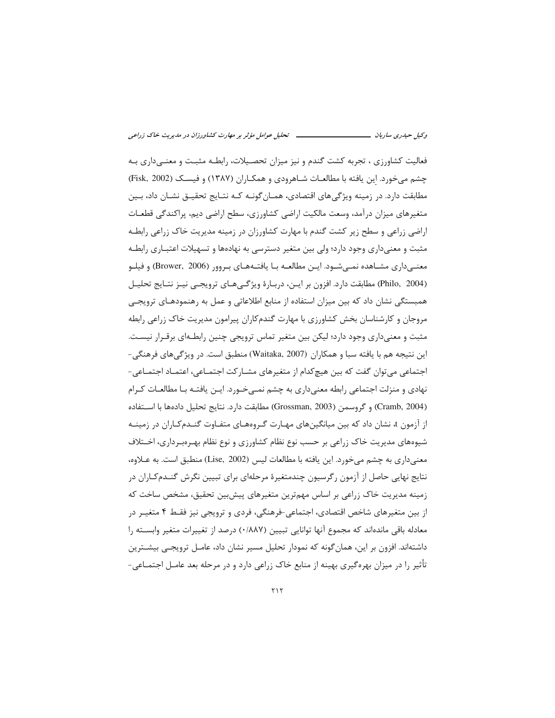فعالیت کشاورزی ، تجربه کشت گندم و نیز میزان تحصـیلات، رابطـه مثبـت و معنـی۱داری بـه چشم می خورد. این یافته با مطالعـات شـاهرودی و همکـاران (۱۳۸۷) و فیسـک (Fisk, 2002) مطابقت دارد. در زمینه ویژگیهای اقتصادی، همـانگونـه کـه نتـایج تحقیـق نشـان داد، بـین متغيرهاي ميزان درآمد، وسعت مالكيت اراضي كشاورزي، سطح اراضي ديم، پراكندگي قطعـات اراضی زراعی و سطح زیر کشت گندم با مهارت کشاورزان در زمینه مدیریت خاک زراعی رابطـه مثبت و معنیداری وجود دارد؛ ولی بین متغیر دسترسی به نهادهها و تسهیلات اعتبــاری رابطــه معنے داری مشــاهده نمــی شــود. ایــن مطالعــه بــا یافتــههــای بــروور (Brower, 2006) و فیلــو (Philo, 2004) مطابقت دارد. افزون بر ایــن، دربـارهٔ ویژگـیهـای ترویجـی نیــز نتـایج تحلیــل همبستگی نشان داد که بین میزان استفاده از منابع اطلاعاتی و عمل به رهنمودهـای ترویجـی مروجان و کارشناسان بخش کشاورزی با مهارت گندمکاران پیرامون مدیریت خاک زراعی رابطه مثبت و معنیداری وجود دارد؛ لیکن بین متغیر تماس ترویجی چنین رابطـهای برقـرار نیسـت. اين نتيجه هم با يافته سبا و همكاران (Waitaka, 2007) منطبق است. در ويژگىهاى فرهنگى-اجتماعی می توان گفت که بین هیچکدام از متغیرهای مشـارکت اجتمـاعی، اعتمـاد اجتمـاعی-نهادی و منزلت اجتماعی رابطه معنی داری به چشم نمـے خـورد. ایــن یافتــه بــا مطالعــات کــرام (Cramb, 2004) و گروسمن (Grossman, 2003) مطابقت دارد. نتايج تحليل دادهها با اســتفاده از آزمون t، نشان داد که بین میانگینهای مهـارت گـروههـای متفـاوت گنـدمکـاران در زمینـه شیوههای مدیریت خاک زراعی بر حسب نوع نظام کشاورزی و نوع نظام بهـرەبـرداری، اخــتلاف معنیداری به چشم میخورد. این یافته با مطالعات لیس (Lise, 2002) منطبق است. به عـلاوه، نتایج نهایی حاصل از آزمون رگرسیون چندمتغیرهٔ مرحلهای برای تبیین نگرش گنـدمكـاران در زمینه مدیریت خاک زراعی بر اساس مهمترین متغیرهای پیش بین تحقیق، مشخص ساخت که از بین متغیرهای شاخص اقتصادی، اجتماعی-فرهنگی، فردی و ترویجی نیز فقـط ۴ متغیـر در معادله باقی ماندهاند که مجموع آنها توانایی تبیین (۰/۸۸۷) درصد از تغییرات متغیر وابسته را داشتهاند. افزون بر این، همان گونه که نمودار تحلیل مسیر نشان داد، عامـل ترویجـی بیشـترین تأثیر را در میزان بهرهگیری بهینه از منابع خاک زراعی دارد و در مرحله بعد عامـل اجتمــاعی-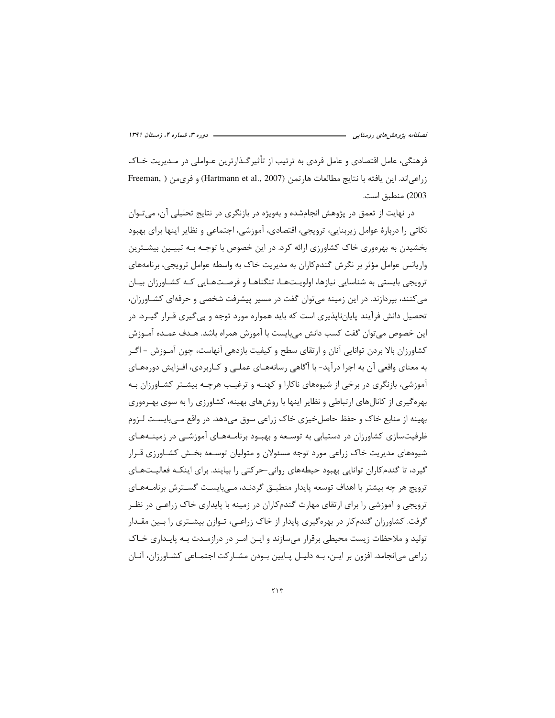فرهنگی، عامل اقتصادی و عامل فردی به ترتیب از تأثیرگـذارترین عـواملی در مـدیریت خـاک زراعي اند. اين يافته با نتايج مطالعات هارتمن (Hartmann et al., 2007) و فرىمن ( ,Freeman 2003) منطبق است.

در نهایت از تعمق در پژوهش انجامشده و بهویژه در بازنگری در نتایج تحلیلی آن، می تـوان نكاتي را دربارهٔ عوامل زيربنايي، ترويجي، اقتصادي، آموزشي، اجتماعي و نظاير اينها براي بهبود بخشیدن به بهرهوری خاک کشاورزی ارائه کرد. در این خصوص با توجـه بـه تبیــین بیشــترین واریانس عوامل مؤثر بر نگرش گندمکاران به مدیریت خاک به واسطه عوامل ترویجی، برنامههای ترویجی بایستی به شناسایی نیازها، اولویـتهـا، تنگناهـا و فرصـتهـایی کـه کشـاورزان بیـان می کنند، بپردازند. در این زمینه می توان گفت در مسیر پیشرفت شخصی و حرفهای کشـاورزان، تحصیل دانش فرآیند پایانناپذیری است که باید همواره مورد توجه و پی گیری قـرار گیـرد. در این خصوص میتوان گفت کسب دانش میبایست با آموزش همراه باشد. هـدف عمـده آمـوزش کشاورزان بالا بردن توانایی آنان و ارتقای سطح و کیفیت بازدهی آنهاست، چون آمـوزش - اگـر به معنای واقعی آن به اجرا درآید- با آگاهی رسانههـای عملـی و کـاربردی، افـزایش دورههـای آموزشي، بازنگري در برخي از شيوههاي ناکارا و کهنـه و ترغيـب هرچـه بيشـتر کشـاورزان بـه بهره گیری از کانال های ارتباطی و نظایر اینها با روش های بهینه، کشاورزی را به سوی بهـرهوری بهینه از منابع خاک و حفظ حاصل خیزی خاک زراعی سوق می دهد. در واقع مـی بایسـت لـزوم ظرفیتسازی کشاورزان در دستیابی به توسـعه و بهبـود برنامـههـای آموزشـی در زمینـههـای شیوههای مدیریت خاک زراعی مورد توجه مسئولان و متولیان توسـعه بخـش کشـاورزی قـرار گیرد، تا گندمکاران توانایی بهبود حیطههای روانی-حرکتی را بیایند. برای اینکـه فعالیـتهـای ترویج هر چه بیشتر با اهداف توسعه پایدار منطبــق گردنــد، مــی بایســت گســترش برنامــههــای ترویجی و آموزشی را برای ارتقای مهارت گندم کاران در زمینه با پایداری خاک زراعـی در نظـر گرفت. کشاورزان گندمکار در بهرهگیری پایدار از خاک زراعبی، تـوازن بیشــتری را بــین مقــدار تولید و ملاحظات زیست محیطی برقرار می سازند و ایـن امـر در درازمـدت بـه پایـداری خـاک زراعی می|نجامد. افزون بر ایـن، بـه دلیـل پـایین بـودن مشـارکت اجتمـاعی کشـاورزان، آنـان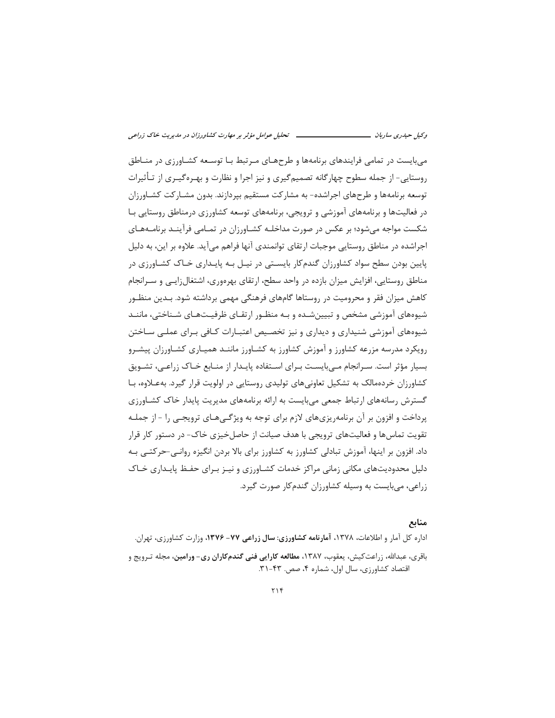می بایست در تمامی فرایندهای برنامهها و طرحهـای مـرتبط بـا توسـعه کشـاورزی در منـاطق روستایی- از جمله سطوح چهارگانه تصمیمگیری و نیز اجرا و نظارت و بهـرهگیـری از تـأثیرات توسعه برنامهها و طرحهای اجراشده- به مشارکت مستقیم بیردازند. بدون مشـارکت کشـاورزان در فعالیتها و برنامههای آموزشی و ترویجی، برنامههای توسعه کشاورزی درمناطق روستایی بـا شکست مواجه میشود؛ بر عکس در صورت مداخلـه کشـاورزان در تمـامی فرآینـد برنامـههـای اجراشده در مناطق روستایی موجبات ارتقای توانمندی آنها فراهم میآید. علاوه بر این، به دلیل پایین بودن سطح سواد کشاورزان گندمکار بایستی در نیـل بـه پایـداری خـاک کشـاورزی در مناطق روستایی، افزایش میزان بازده در واحد سطح، ارتقای بهرهوری، اشتغال;ایی و سـرانجام کاهش میزان فقر و محرومیت در روستاها گامهای فرهنگی مهمی برداشته شود. بـدین منظـور شیوههای آموزشی مشخص و تبیینشـده و بـه منظـور ارتقـای ظرفیـتهـای شـناختی، ماننـد شیوههای آموزشی شنیداری و دیداری و نیز تخصیص اعتبـارات کـافی بـرای عملـی سـاختن رویکرد مدرسه مزرعه کشاورز و آموزش کشاورز به کشـاورز ماننـد همیـاری کشـاورزان پیشـرو بسیار مؤثر است. سـرانجام مـی،بایسـت بـرای اسـتفاده پایـدار از منــابع خـاک زراعـی، تشــویق کشاورزان خردهمالک به تشکیل تعاونیهای تولیدی روستایی در اولویت قرار گیرد. به علاوه، بـا گسترش رسانههای ارتباط جمعی میبایست به ارائه برنامههای مدیریت پایدار خاک کشـاورزی پرداخت و افزون بر آن برنامهریزیهای لازم برای توجه به ویژگـیهـای ترویجـی را - از جملـه تقویت تماسها و فعالیتهای ترویجی با هدف صیانت از حاصل خیزی خاک- در دستور کار قرار داد. افزون بر اینها، آموزش تبادلی کشاورز به کشاورز برای بالا بردن انگیزه روانـی-حرکتـی بـه دلیل محدودیتهای مکانی زمانی مراکز خدمات کشـاورزی و نیـز بـرای حفـظ پایـداری خـاک زراعی، می بایست به وسیله کشاورزان گندم کار صورت گیرد.

#### منابع

اداره کل آمار و اطلاعات، ۱۳۷۸، **آمارنامه کشاورزی: سال زراعی ۷۷- ۱۳۷۶،** وزارت کشاورزی، تهران. باقری، عبدالله، زراعت *ک*یش، یعقوب، ۱۳۸۷، م**طالعه کارایی فنی گندم کاران ری- ورامین**، مجله تـرویج و اقتصاد كشاورزى، سال اول، شماره ۴، صص. ۴۳-۳۱.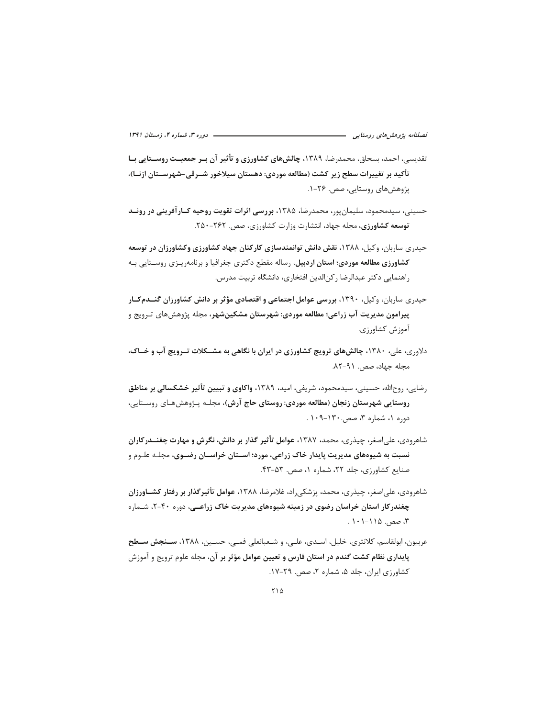تقدیسی، احمد، بسحاق، محمدرضا، ۱۳۸۹، چالشهای کشاورزی و تأثیر آن بـر جمعیـت روسـتایی بـا تأكيد بر تغييرات سطح زير كشت (مطالعه موردي: دهستان سيلاخور شــرقي-شهرســتان ازنــا)، پژوهش های روستایی، صص. ۲۶-۱.

حسینی، سیدمحمود، سلیمان بور، محمدرضا، ۱۳۸۵، بررسی اثرات تقویت روحیه کـارآفرینی در رونــد توسعه كشاورزى، مجله جهاد، انتشارت وزارت كشاورزى، صص. ٢۶٢-٢٥٠.

حیدری ساربان، وکیل، ۱۳۸۸، نقش دانش توانمندسازی کارکنان جهاد کشاورزی وکشاورزان در توسعه **کشاورزی مطالعه موردی؛ استان اردبیل،** رساله مقطع دکتری جغرافیا و برنامهریـزی روسـتایی بـه راهنمایی دکتر عبدالرضا رکن|لدین افتخاری، دانشگاه تربیت مدرس.

- حیدری ساربان، وکیل، ۱۳۹۰، بررسی عوامل اجتماعی و اقتصادی مؤثر بر دانش کشاورزان گنــدمکـار پیرامون مدیریت آب زراعی؛ مطالعه موردی: شهرستان مشکینشهر، مجله پژوهشهای تـرویج و آموزش كشاورزي.
- دلاوري، علي، ١٣٨٠، چالشهاي ترويج كشاورزي در ايران با نگاهي به مشــكلات تـرويج آب و خــاک، مجله جهاد، صص. ۹۱-۸۲.
- رضایی، روحالله، حسینی، سیدمحمود، شریفی، امید، ۱۳۸۹، واکاوی و تبیین تأثیر خشکسالی بر مناطق روستایی شهرستان زنجان (مطالعه موردی: روستای حاج آرش)، مجلـه پـژوهشهـای روسـتایی، دوره ۱، شماره ۳، صص ۱۳۰-۱۰۹.
- شاهرودی، علیاصغر، چیذری، محمد، ۱۳۸۷، عوامل تأثیر گذار بر دانش، نگرش و مهارت چغنــدرکاران نسبت به شیوههای مدیریت پایدار خاک زراعی، مورد؛ اســتان خراســان رضــوی، مجلـه علـوم و صنایع کشاورزی، جلد ۲۲، شماره ۱، صص. ۵۳-۴۳.
- شاهرودی، علی اصغر، چیذری، محمد، پزشکی راد، غلامرضا، ۱۳۸۸، عوامل تأثیر گذار بر رفتار کشـاورزان چغندرکار استان خراسان رضوی در زمینه شیوههای مدیریت خاک زراعـی، دوره ۴۰-۲، شـماره ۳، صص. ۱۱۵–۱۰۱۰ .
- عربيون، ابولقاسم، كلانترى، خليل، اسـدى، علــي، و شـعبانعلى فمــي، حسـين، ١٣٨٨، **ســنجش ســطح** پایداری نظام کشت گندم در استان فارس و تعیین عوامل مؤثر بر آن، مجله علوم ترویج و آموزش کشاورزی ایران، جلد ۵، شماره ۲، صص. ۲۹-۱۷.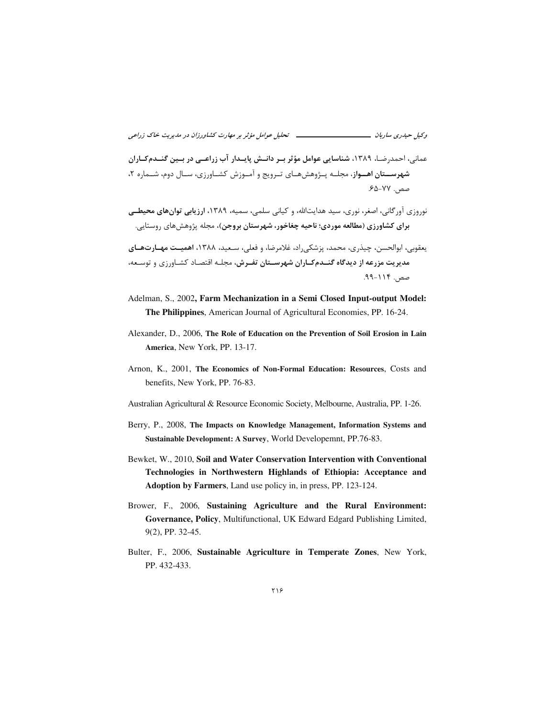عمانی، احمدرضـا، ۱۳۸۹، شناسایی عوامل مؤثر بـر دانــش پایــدار آب زراعــی در بـین گنــدمكـاران شهرســتان اهــواز، مجلــه پــژوهش&ــای تــرویج و آمــوزش کشــاورزی، ســال دوم، شــماره ۲، صص. ٧٧-۶۵-۶۵.

نوروزي آور گاني، اصغر، نوري، سيد هدايتالله، و کياني سلمي، سميه، ۱۳۸۹، ا**رزيابي توان هاي محيطي** برای کشاورزی (مطالعه موردی؛ ناحیه چغاخور، شهرستان بروجن)، مجله پژوهشهای روستایی.

يعقوبي، ابوالحسن، چيذري، محمد، پزشكي راد، غلامرضا، و فعلي، سـعيد، ١٣٨٨، اهميـت مهـارتهـاي مدیریت مزرعه از دیدگاه گنــدمکـاران شهرسـتان تفـرش، مجلـه اقتصـاد کشـاورزی و توسـعه، صص. ۱۱۴-۹۹.

- Adelman, S., 2002, Farm Mechanization in a Semi Closed Input-output Model: The Philippines, American Journal of Agricultural Economies, PP. 16-24.
- Alexander, D., 2006, The Role of Education on the Prevention of Soil Erosion in Lain America, New York, PP. 13-17.
- Arnon, K., 2001, The Economics of Non-Formal Education: Resources, Costs and benefits, New York, PP. 76-83.
- Australian Agricultural & Resource Economic Society, Melbourne, Australia, PP. 1-26.
- Berry, P., 2008, The Impacts on Knowledge Management, Information Systems and Sustainable Development: A Survey, World Developemnt, PP.76-83.
- Bewket, W., 2010, Soil and Water Conservation Intervention with Conventional Technologies in Northwestern Highlands of Ethiopia: Acceptance and **Adoption by Farmers**, Land use policy in, in press, PP. 123-124.
- Brower, F., 2006, Sustaining Agriculture and the Rural Environment: Governance, Policy, Multifunctional, UK Edward Edgard Publishing Limited, 9(2), PP. 32-45.
- Bulter, F., 2006, Sustainable Agriculture in Temperate Zones, New York, PP. 432-433.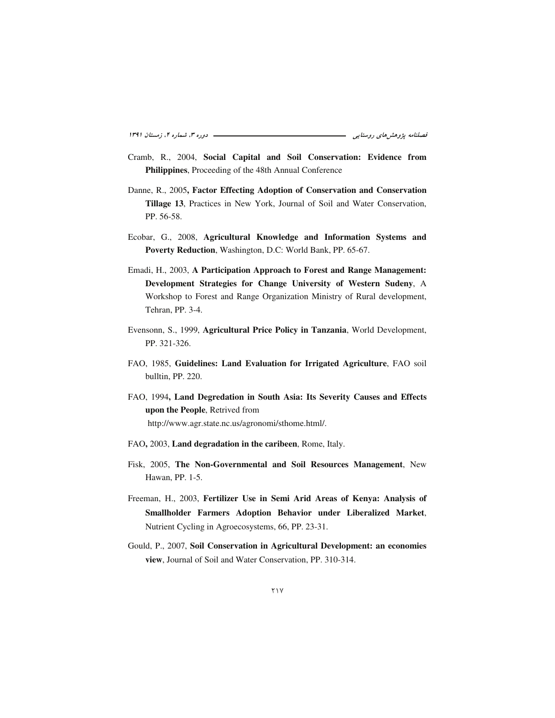- Cramb, R., 2004, Social Capital and Soil Conservation: Evidence from Philippines, Proceeding of the 48th Annual Conference
- Danne, R., 2005, Factor Effecting Adoption of Conservation and Conservation Tillage 13, Practices in New York, Journal of Soil and Water Conservation, PP. 56-58.
- Ecobar, G., 2008, Agricultural Knowledge and Information Systems and Poverty Reduction, Washington, D.C: World Bank, PP. 65-67.
- Emadi, H., 2003, A Participation Approach to Forest and Range Management: Development Strategies for Change University of Western Sudeny, A Workshop to Forest and Range Organization Ministry of Rural development, Tehran, PP. 3-4.
- Evensonn, S., 1999, Agricultural Price Policy in Tanzania, World Development, PP. 321-326.
- FAO, 1985, Guidelines: Land Evaluation for Irrigated Agriculture, FAO soil bulltin, PP. 220.
- FAO, 1994, Land Degredation in South Asia: Its Severity Causes and Effects upon the People, Retrived from http://www.agr.state.nc.us/agronomi/sthome.html/.
- FAO, 2003, Land degradation in the caribeen, Rome, Italy.
- Fisk, 2005, The Non-Governmental and Soil Resources Management, New Hawan, PP. 1-5.
- Freeman, H., 2003, Fertilizer Use in Semi Arid Areas of Kenya: Analysis of Smallholder Farmers Adoption Behavior under Liberalized Market, Nutrient Cycling in Agroecosystems, 66, PP. 23-31.
- Gould, P., 2007, Soil Conservation in Agricultural Development: an economies view, Journal of Soil and Water Conservation, PP. 310-314.